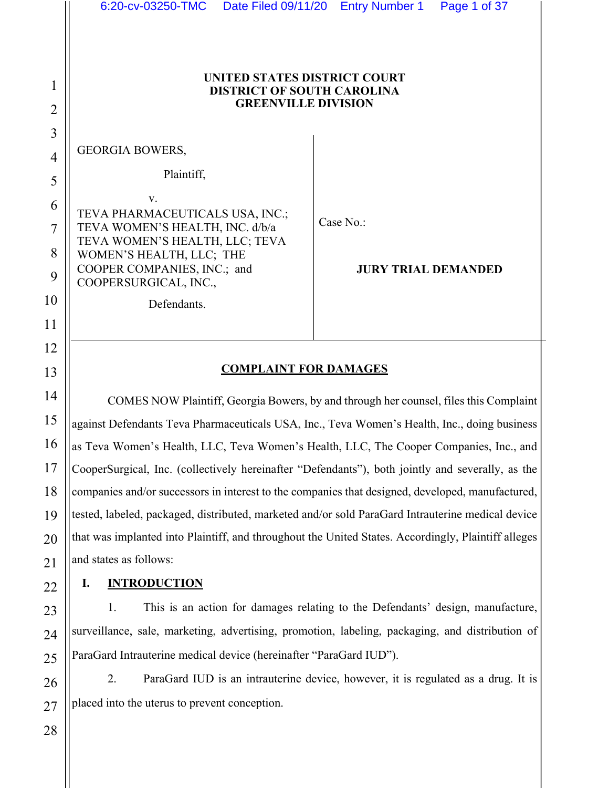| 6:20-cv-03250-TMC                                                                                                                                                                                             | Date Filed 09/11/20 Entry Number 1 Page 1 of 37                                       |
|---------------------------------------------------------------------------------------------------------------------------------------------------------------------------------------------------------------|---------------------------------------------------------------------------------------|
| UNITED STATES DISTRICT COURT<br><b>DISTRICT OF SOUTH CAROLINA</b><br><b>GREENVILLE DIVISION</b>                                                                                                               |                                                                                       |
| <b>GEORGIA BOWERS,</b>                                                                                                                                                                                        |                                                                                       |
| Plaintiff,                                                                                                                                                                                                    |                                                                                       |
| V.<br>TEVA PHARMACEUTICALS USA, INC.;<br>TEVA WOMEN'S HEALTH, INC. d/b/a<br>TEVA WOMEN'S HEALTH, LLC; TEVA<br>WOMEN'S HEALTH, LLC; THE<br>COOPER COMPANIES, INC.; and<br>COOPERSURGICAL, INC.,<br>Defendants. | Case No.:<br><b>JURY TRIAL DEMANDED</b>                                               |
| <b>COMPLAINT FOR DAMAGES</b>                                                                                                                                                                                  |                                                                                       |
|                                                                                                                                                                                                               | COMES NOW Plaintiff, Georgia Bowers, by and through her counsel, files this Complaint |
| against Defendants Teva Pharmaceuticals USA, Inc., Teva Women's Health, Inc., doing business                                                                                                                  |                                                                                       |
| as Teva Women's Health, LLC, Teva Women's Health, LLC, The Cooper Companies, Inc., and                                                                                                                        |                                                                                       |
| CooperSurgical, Inc. (collectively hereinafter "Defendants"), both jointly and severally, as the                                                                                                              |                                                                                       |
| companies and/or successors in interest to the companies that designed, developed, manufactured,                                                                                                              |                                                                                       |
| tested, labeled, packaged, distributed, marketed and/or sold ParaGard Intrauterine medical device                                                                                                             |                                                                                       |
| that was implanted into Plaintiff, and throughout the United States. Accordingly, Plaintiff alleges                                                                                                           |                                                                                       |

### **I. INTRODUCTION**

and states as follows:

1. This is an action for damages relating to the Defendants' design, manufacture, surveillance, sale, marketing, advertising, promotion, labeling, packaging, and distribution of ParaGard Intrauterine medical device (hereinafter "ParaGard IUD").

2. ParaGard IUD is an intrauterine device, however, it is regulated as a drug. It is placed into the uterus to prevent conception.

1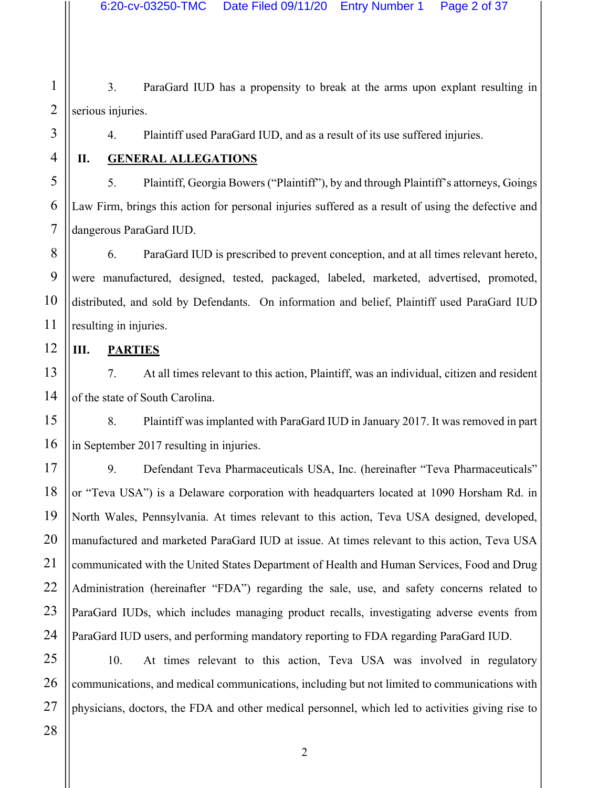1 2 3. ParaGard IUD has a propensity to break at the arms upon explant resulting in serious injuries.

4. Plaintiff used ParaGard IUD, and as a result of its use suffered injuries.

3

4

5

**II. GENERAL ALLEGATIONS**

5. Plaintiff, Georgia Bowers ("Plaintiff"), by and through Plaintiff's attorneys, Goings Law Firm, brings this action for personal injuries suffered as a result of using the defective and dangerous ParaGard IUD.

6. ParaGard IUD is prescribed to prevent conception, and at all times relevant hereto, were manufactured, designed, tested, packaged, labeled, marketed, advertised, promoted, distributed, and sold by Defendants. On information and belief, Plaintiff used ParaGard IUD resulting in injuries.

**III. PARTIES**

7. At all times relevant to this action, Plaintiff, was an individual, citizen and resident of the state of South Carolina.

8. Plaintiff was implanted with ParaGard IUD in January 2017. It was removed in part in September 2017 resulting in injuries.

9. Defendant Teva Pharmaceuticals USA, Inc. (hereinafter "Teva Pharmaceuticals" or "Teva USA") is a Delaware corporation with headquarters located at 1090 Horsham Rd. in North Wales, Pennsylvania. At times relevant to this action, Teva USA designed, developed, manufactured and marketed ParaGard IUD at issue. At times relevant to this action, Teva USA communicated with the United States Department of Health and Human Services, Food and Drug Administration (hereinafter "FDA") regarding the sale, use, and safety concerns related to ParaGard IUDs, which includes managing product recalls, investigating adverse events from ParaGard IUD users, and performing mandatory reporting to FDA regarding ParaGard IUD.

10. At times relevant to this action, Teva USA was involved in regulatory communications, and medical communications, including but not limited to communications with physicians, doctors, the FDA and other medical personnel, which led to activities giving rise to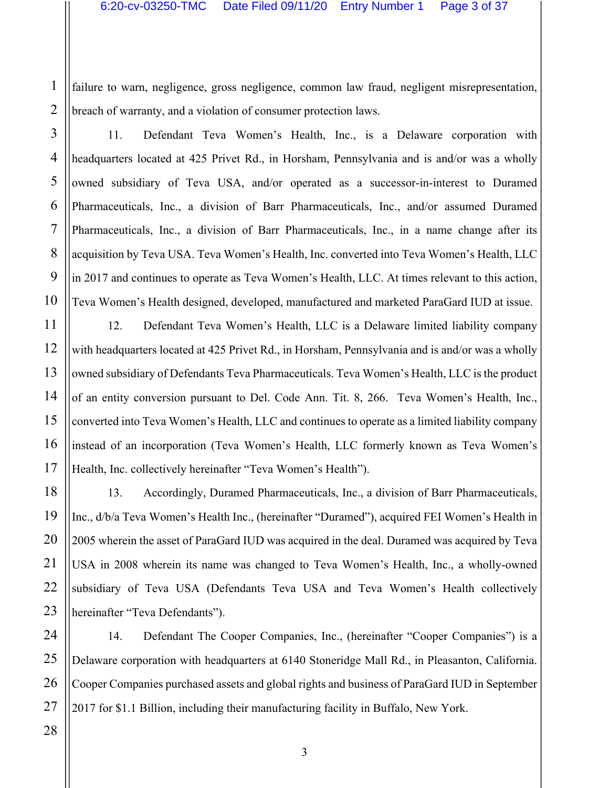failure to warn, negligence, gross negligence, common law fraud, negligent misrepresentation, breach of warranty, and a violation of consumer protection laws.

11. Defendant Teva Women's Health, Inc., is a Delaware corporation with headquarters located at 425 Privet Rd., in Horsham, Pennsylvania and is and/or was a wholly owned subsidiary of Teva USA, and/or operated as a successor-in-interest to Duramed Pharmaceuticals, Inc., a division of Barr Pharmaceuticals, Inc., and/or assumed Duramed Pharmaceuticals, Inc., a division of Barr Pharmaceuticals, Inc., in a name change after its acquisition by Teva USA. Teva Women's Health, Inc. converted into Teva Women's Health, LLC in 2017 and continues to operate as Teva Women's Health, LLC. At times relevant to this action, Teva Women's Health designed, developed, manufactured and marketed ParaGard IUD at issue.

12. Defendant Teva Women's Health, LLC is a Delaware limited liability company with headquarters located at 425 Privet Rd., in Horsham, Pennsylvania and is and/or was a wholly owned subsidiary of Defendants Teva Pharmaceuticals. Teva Women's Health, LLC is the product of an entity conversion pursuant to Del. Code Ann. Tit. 8, 266. Teva Women's Health, Inc., converted into Teva Women's Health, LLC and continues to operate as a limited liability company instead of an incorporation (Teva Women's Health, LLC formerly known as Teva Women's Health, Inc. collectively hereinafter "Teva Women's Health").

13. Accordingly, Duramed Pharmaceuticals, Inc., a division of Barr Pharmaceuticals, Inc., d/b/a Teva Women's Health Inc., (hereinafter "Duramed"), acquired FEI Women's Health in 2005 wherein the asset of ParaGard IUD was acquired in the deal. Duramed was acquired by Teva USA in 2008 wherein its name was changed to Teva Women's Health, Inc., a wholly-owned subsidiary of Teva USA (Defendants Teva USA and Teva Women's Health collectively hereinafter "Teva Defendants").

14. Defendant The Cooper Companies, Inc., (hereinafter "Cooper Companies") is a Delaware corporation with headquarters at 6140 Stoneridge Mall Rd., in Pleasanton, California. Cooper Companies purchased assets and global rights and business of ParaGard IUD in September 2017 for \$1.1 Billion, including their manufacturing facility in Buffalo, New York.

1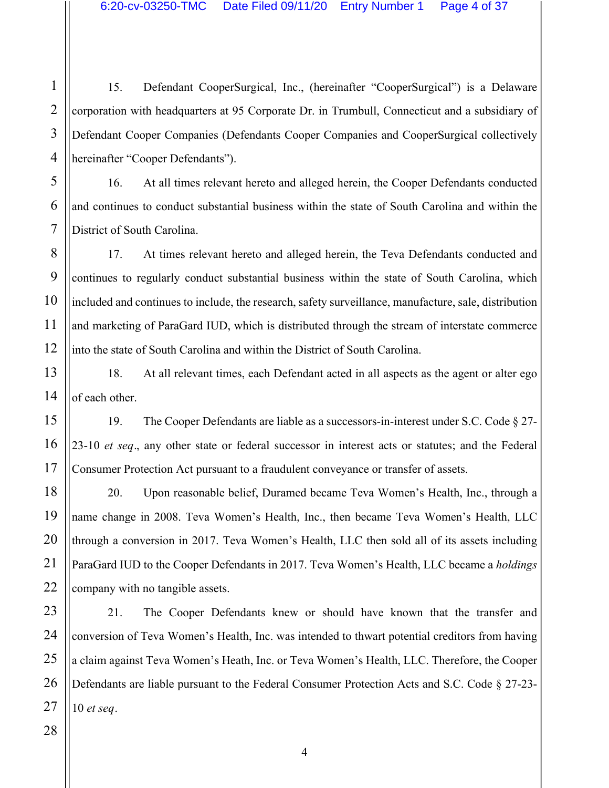15. Defendant CooperSurgical, Inc., (hereinafter "CooperSurgical") is a Delaware corporation with headquarters at 95 Corporate Dr. in Trumbull, Connecticut and a subsidiary of Defendant Cooper Companies (Defendants Cooper Companies and CooperSurgical collectively hereinafter "Cooper Defendants").

16. At all times relevant hereto and alleged herein, the Cooper Defendants conducted and continues to conduct substantial business within the state of South Carolina and within the District of South Carolina.

17. At times relevant hereto and alleged herein, the Teva Defendants conducted and continues to regularly conduct substantial business within the state of South Carolina, which included and continues to include, the research, safety surveillance, manufacture, sale, distribution and marketing of ParaGard IUD, which is distributed through the stream of interstate commerce into the state of South Carolina and within the District of South Carolina.

18. At all relevant times, each Defendant acted in all aspects as the agent or alter ego of each other.

19. The Cooper Defendants are liable as a successors-in-interest under S.C. Code § 27- 23-10 *et seq.*, any other state or federal successor in interest acts or statutes; and the Federal Consumer Protection Act pursuant to a fraudulent conveyance or transfer of assets.

20. Upon reasonable belief, Duramed became Teva Women's Health, Inc., through a name change in 2008. Teva Women's Health, Inc., then became Teva Women's Health, LLC through a conversion in 2017. Teva Women's Health, LLC then sold all of its assets including ParaGard IUD to the Cooper Defendants in 2017. Teva Women's Health, LLC became a *holdings*  company with no tangible assets.

21. The Cooper Defendants knew or should have known that the transfer and conversion of Teva Women's Health, Inc. was intended to thwart potential creditors from having a claim against Teva Women's Heath, Inc. or Teva Women's Health, LLC. Therefore, the Cooper Defendants are liable pursuant to the Federal Consumer Protection Acts and S.C. Code § 27-23- 10 *et seq.*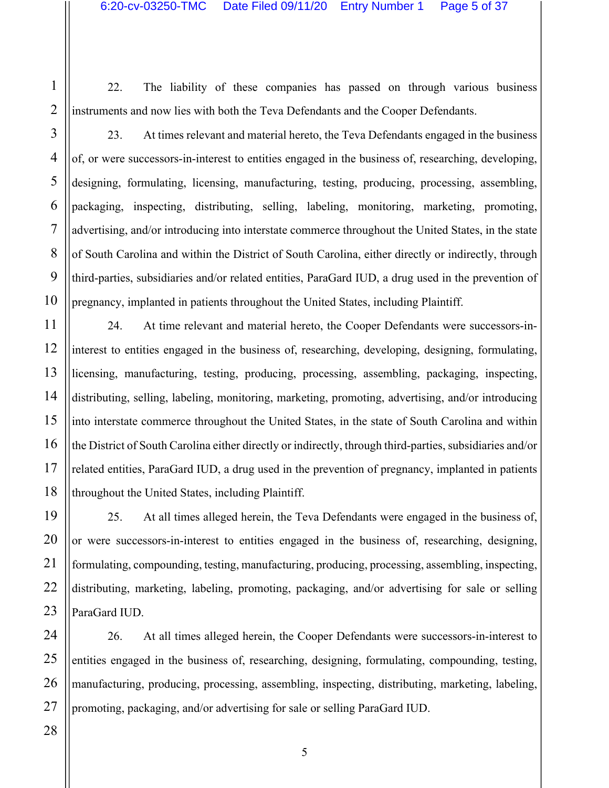22. The liability of these companies has passed on through various business instruments and now lies with both the Teva Defendants and the Cooper Defendants.

23. At times relevant and material hereto, the Teva Defendants engaged in the business of, or were successors-in-interest to entities engaged in the business of, researching, developing, designing, formulating, licensing, manufacturing, testing, producing, processing, assembling, packaging, inspecting, distributing, selling, labeling, monitoring, marketing, promoting, advertising, and/or introducing into interstate commerce throughout the United States, in the state of South Carolina and within the District of South Carolina, either directly or indirectly, through third-parties, subsidiaries and/or related entities, ParaGard IUD, a drug used in the prevention of pregnancy, implanted in patients throughout the United States, including Plaintiff.

24. At time relevant and material hereto, the Cooper Defendants were successors-ininterest to entities engaged in the business of, researching, developing, designing, formulating, licensing, manufacturing, testing, producing, processing, assembling, packaging, inspecting, distributing, selling, labeling, monitoring, marketing, promoting, advertising, and/or introducing into interstate commerce throughout the United States, in the state of South Carolina and within the District of South Carolina either directly or indirectly, through third-parties, subsidiaries and/or related entities, ParaGard IUD, a drug used in the prevention of pregnancy, implanted in patients throughout the United States, including Plaintiff.

25. At all times alleged herein, the Teva Defendants were engaged in the business of, or were successors-in-interest to entities engaged in the business of, researching, designing, formulating, compounding, testing, manufacturing, producing, processing, assembling, inspecting, distributing, marketing, labeling, promoting, packaging, and/or advertising for sale or selling ParaGard IUD.

26. At all times alleged herein, the Cooper Defendants were successors-in-interest to entities engaged in the business of, researching, designing, formulating, compounding, testing, manufacturing, producing, processing, assembling, inspecting, distributing, marketing, labeling, promoting, packaging, and/or advertising for sale or selling ParaGard IUD.

1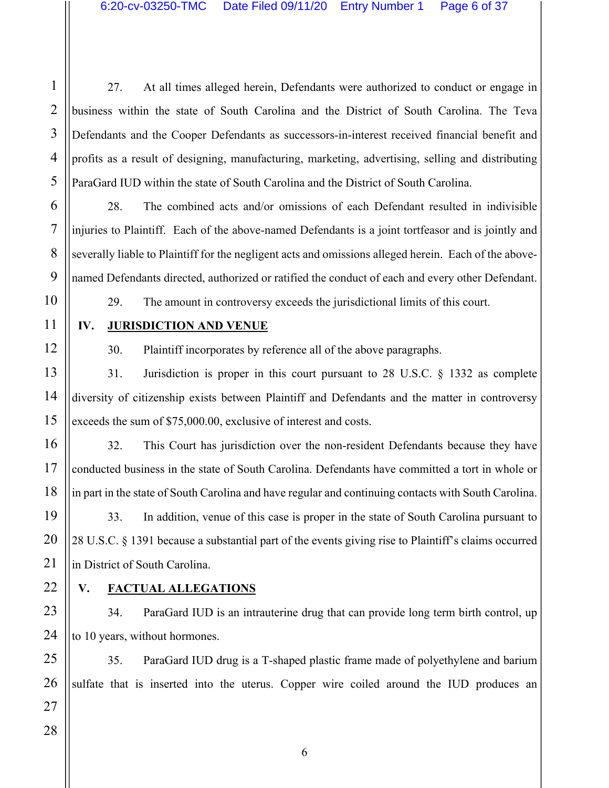27. At all times alleged herein, Defendants were authorized to conduct or engage in business within the state of South Carolina and the District of South Carolina. The Teva Defendants and the Cooper Defendants as successors-in-interest received financial benefit and profits as a result of designing, manufacturing, marketing, advertising, selling and distributing ParaGard IUD within the state of South Carolina and the District of South Carolina.

28. The combined acts and/or omissions of each Defendant resulted in indivisible injuries to Plaintiff. Each of the above-named Defendants is a joint tortfeasor and is jointly and severally liable to Plaintiff for the negligent acts and omissions alleged herein. Each of the abovenamed Defendants directed, authorized or ratified the conduct of each and every other Defendant.

29. The amount in controversy exceeds the jurisdictional limits of this court.

# **IV. JURISDICTION AND VENUE**

30. Plaintiff incorporates by reference all of the above paragraphs.

31. Jurisdiction is proper in this court pursuant to 28 U.S.C. § 1332 as complete diversity of citizenship exists between Plaintiff and Defendants and the matter in controversy exceeds the sum of \$75,000.00, exclusive of interest and costs.

32. This Court has jurisdiction over the non-resident Defendants because they have conducted business in the state of South Carolina. Defendants have committed a tort in whole or in part in the state of South Carolina and have regular and continuing contacts with South Carolina.

33. In addition, venue of this case is proper in the state of South Carolina pursuant to 28 U.S.C. § 1391 because a substantial part of the events giving rise to Plaintiff's claims occurred in District of South Carolina.

# **V. FACTUAL ALLEGATIONS**

34. ParaGard IUD is an intrauterine drug that can provide long term birth control, up to 10 years, without hormones.

35. ParaGard IUD drug is a T-shaped plastic frame made of polyethylene and barium sulfate that is inserted into the uterus. Copper wire coiled around the IUD produces an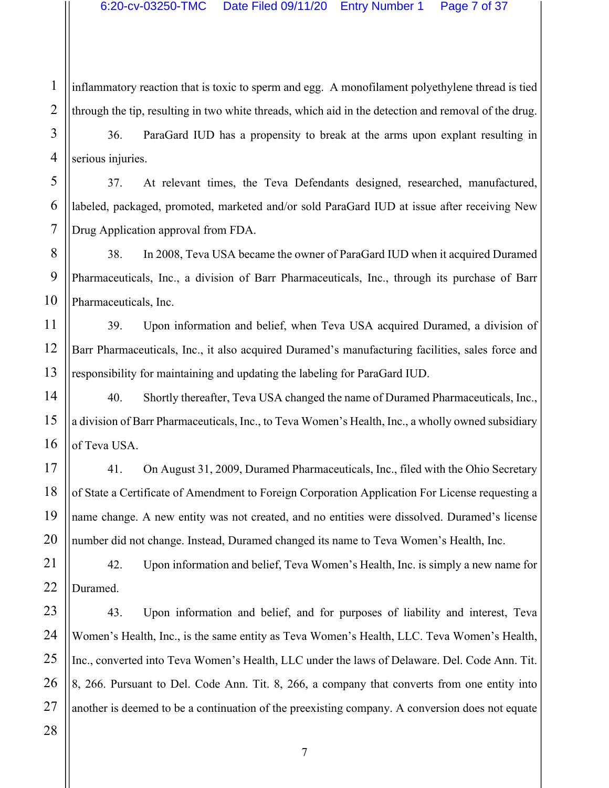inflammatory reaction that is toxic to sperm and egg. A monofilament polyethylene thread is tied through the tip, resulting in two white threads, which aid in the detection and removal of the drug.

36. ParaGard IUD has a propensity to break at the arms upon explant resulting in serious injuries.

37. At relevant times, the Teva Defendants designed, researched, manufactured, labeled, packaged, promoted, marketed and/or sold ParaGard IUD at issue after receiving New Drug Application approval from FDA.

38. In 2008, Teva USA became the owner of ParaGard IUD when it acquired Duramed Pharmaceuticals, Inc., a division of Barr Pharmaceuticals, Inc., through its purchase of Barr Pharmaceuticals, Inc.

39. Upon information and belief, when Teva USA acquired Duramed, a division of Barr Pharmaceuticals, Inc., it also acquired Duramed's manufacturing facilities, sales force and responsibility for maintaining and updating the labeling for ParaGard IUD.

40. Shortly thereafter, Teva USA changed the name of Duramed Pharmaceuticals, Inc., a division of Barr Pharmaceuticals, Inc., to Teva Women's Health, Inc., a wholly owned subsidiary of Teva USA.

41. On August 31, 2009, Duramed Pharmaceuticals, Inc., filed with the Ohio Secretary of State a Certificate of Amendment to Foreign Corporation Application For License requesting a name change. A new entity was not created, and no entities were dissolved. Duramed's license number did not change. Instead, Duramed changed its name to Teva Women's Health, Inc.

42. Upon information and belief, Teva Women's Health, Inc. is simply a new name for Duramed.

43. Upon information and belief, and for purposes of liability and interest, Teva Women's Health, Inc., is the same entity as Teva Women's Health, LLC. Teva Women's Health, Inc., converted into Teva Women's Health, LLC under the laws of Delaware. Del. Code Ann. Tit. 8, 266. Pursuant to Del. Code Ann. Tit. 8, 266, a company that converts from one entity into another is deemed to be a continuation of the preexisting company. A conversion does not equate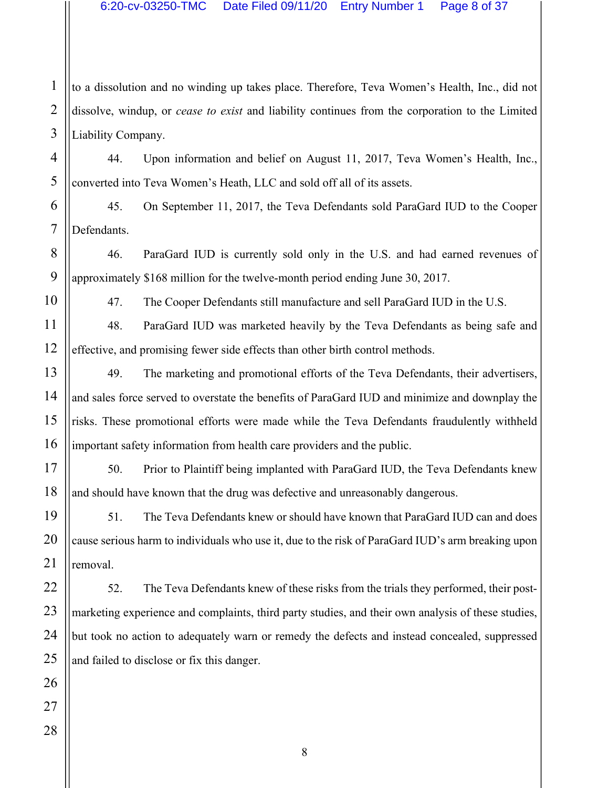1 to a dissolution and no winding up takes place. Therefore, Teva Women's Health, Inc., did not dissolve, windup, or *cease to exist* and liability continues from the corporation to the Limited Liability Company.

44. Upon information and belief on August 11, 2017, Teva Women's Health, Inc., converted into Teva Women's Heath, LLC and sold off all of its assets.

45. On September 11, 2017, the Teva Defendants sold ParaGard IUD to the Cooper Defendants.

46. ParaGard IUD is currently sold only in the U.S. and had earned revenues of approximately \$168 million for the twelve-month period ending June 30, 2017.

47. The Cooper Defendants still manufacture and sell ParaGard IUD in the U.S.

48. ParaGard IUD was marketed heavily by the Teva Defendants as being safe and effective, and promising fewer side effects than other birth control methods.

49. The marketing and promotional efforts of the Teva Defendants, their advertisers, and sales force served to overstate the benefits of ParaGard IUD and minimize and downplay the risks. These promotional efforts were made while the Teva Defendants fraudulently withheld important safety information from health care providers and the public.

50. Prior to Plaintiff being implanted with ParaGard IUD, the Teva Defendants knew and should have known that the drug was defective and unreasonably dangerous.

51. The Teva Defendants knew or should have known that ParaGard IUD can and does cause serious harm to individuals who use it, due to the risk of ParaGard IUD's arm breaking upon removal.

52. The Teva Defendants knew of these risks from the trials they performed, their postmarketing experience and complaints, third party studies, and their own analysis of these studies, but took no action to adequately warn or remedy the defects and instead concealed, suppressed and failed to disclose or fix this danger.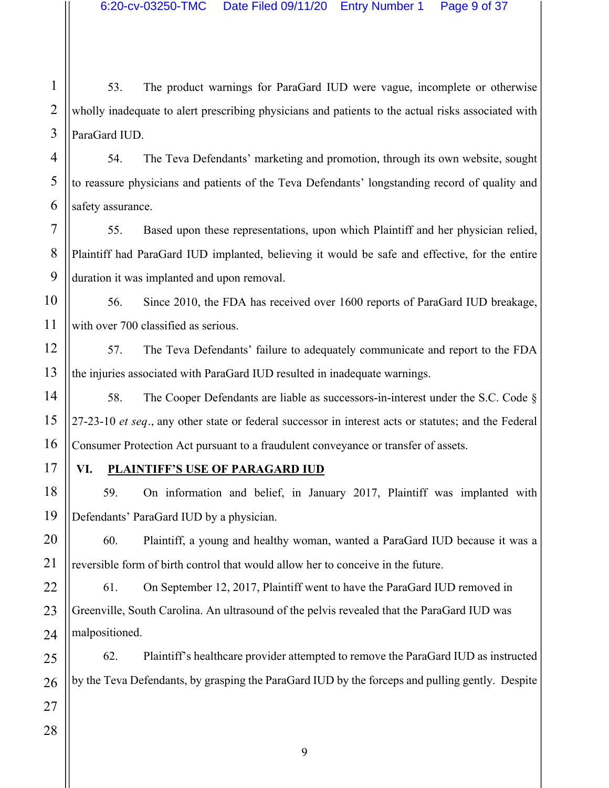1 2 3 53. The product warnings for ParaGard IUD were vague, incomplete or otherwise wholly inadequate to alert prescribing physicians and patients to the actual risks associated with ParaGard IUD.

54. The Teva Defendants' marketing and promotion, through its own website, sought to reassure physicians and patients of the Teva Defendants' longstanding record of quality and safety assurance.

55. Based upon these representations, upon which Plaintiff and her physician relied, Plaintiff had ParaGard IUD implanted, believing it would be safe and effective, for the entire duration it was implanted and upon removal.

56. Since 2010, the FDA has received over 1600 reports of ParaGard IUD breakage, with over 700 classified as serious.

57. The Teva Defendants' failure to adequately communicate and report to the FDA the injuries associated with ParaGard IUD resulted in inadequate warnings.

58. The Cooper Defendants are liable as successors-in-interest under the S.C. Code § 27-23-10 *et seq.*, any other state or federal successor in interest acts or statutes; and the Federal Consumer Protection Act pursuant to a fraudulent conveyance or transfer of assets.

# **VI. PLAINTIFF'S USE OF PARAGARD IUD**

59. On information and belief, in January 2017, Plaintiff was implanted with Defendants' ParaGard IUD by a physician.

60. Plaintiff, a young and healthy woman, wanted a ParaGard IUD because it was a reversible form of birth control that would allow her to conceive in the future.

61. On September 12, 2017, Plaintiff went to have the ParaGard IUD removed in Greenville, South Carolina. An ultrasound of the pelvis revealed that the ParaGard IUD was malpositioned.

62. Plaintiff's healthcare provider attempted to remove the ParaGard IUD as instructed by the Teva Defendants, by grasping the ParaGard IUD by the forceps and pulling gently. Despite

4

5

6

7

8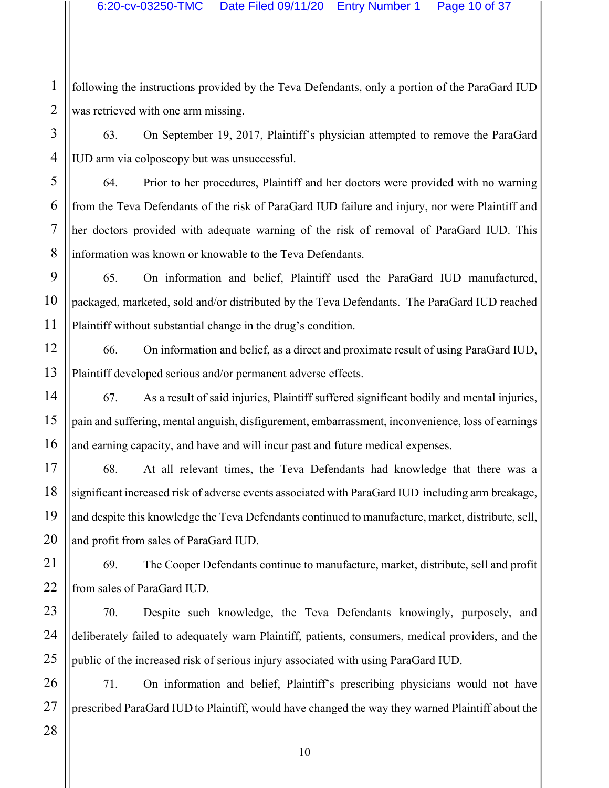1 2 following the instructions provided by the Teva Defendants, only a portion of the ParaGard IUD was retrieved with one arm missing.

63. On September 19, 2017, Plaintiff's physician attempted to remove the ParaGard IUD arm via colposcopy but was unsuccessful.

64. Prior to her procedures, Plaintiff and her doctors were provided with no warning from the Teva Defendants of the risk of ParaGard IUD failure and injury, nor were Plaintiff and her doctors provided with adequate warning of the risk of removal of ParaGard IUD. This information was known or knowable to the Teva Defendants.

65. On information and belief, Plaintiff used the ParaGard IUD manufactured, packaged, marketed, sold and/or distributed by the Teva Defendants. The ParaGard IUD reached Plaintiff without substantial change in the drug's condition.

66. On information and belief, as a direct and proximate result of using ParaGard IUD, Plaintiff developed serious and/or permanent adverse effects.

67. As a result of said injuries, Plaintiff suffered significant bodily and mental injuries, pain and suffering, mental anguish, disfigurement, embarrassment, inconvenience, loss of earnings and earning capacity, and have and will incur past and future medical expenses.

68. At all relevant times, the Teva Defendants had knowledge that there was a significant increased risk of adverse events associated with ParaGard IUD including arm breakage, and despite this knowledge the Teva Defendants continued to manufacture, market, distribute, sell, and profit from sales of ParaGard IUD.

69. The Cooper Defendants continue to manufacture, market, distribute, sell and profit from sales of ParaGard IUD.

70. Despite such knowledge, the Teva Defendants knowingly, purposely, and deliberately failed to adequately warn Plaintiff, patients, consumers, medical providers, and the public of the increased risk of serious injury associated with using ParaGard IUD.

71. On information and belief, Plaintiff's prescribing physicians would not have prescribed ParaGard IUD to Plaintiff, would have changed the way they warned Plaintiff about the

3

4

5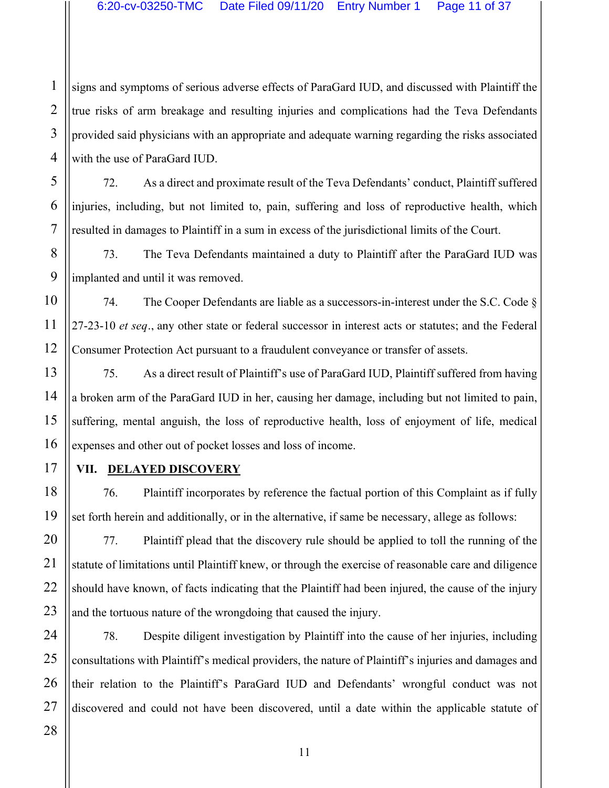signs and symptoms of serious adverse effects of ParaGard IUD, and discussed with Plaintiff the true risks of arm breakage and resulting injuries and complications had the Teva Defendants provided said physicians with an appropriate and adequate warning regarding the risks associated with the use of ParaGard IUD.

72. As a direct and proximate result of the Teva Defendants' conduct, Plaintiff suffered injuries, including, but not limited to, pain, suffering and loss of reproductive health, which resulted in damages to Plaintiff in a sum in excess of the jurisdictional limits of the Court.

73. The Teva Defendants maintained a duty to Plaintiff after the ParaGard IUD was implanted and until it was removed.

74. The Cooper Defendants are liable as a successors-in-interest under the S.C. Code § 27-23-10 *et seq.*, any other state or federal successor in interest acts or statutes; and the Federal Consumer Protection Act pursuant to a fraudulent conveyance or transfer of assets.

75. As a direct result of Plaintiff's use of ParaGard IUD, Plaintiff suffered from having a broken arm of the ParaGard IUD in her, causing her damage, including but not limited to pain, suffering, mental anguish, the loss of reproductive health, loss of enjoyment of life, medical expenses and other out of pocket losses and loss of income.

**VII. DELAYED DISCOVERY**

76. Plaintiff incorporates by reference the factual portion of this Complaint as if fully set forth herein and additionally, or in the alternative, if same be necessary, allege as follows:

77. Plaintiff plead that the discovery rule should be applied to toll the running of the statute of limitations until Plaintiff knew, or through the exercise of reasonable care and diligence should have known, of facts indicating that the Plaintiff had been injured, the cause of the injury and the tortuous nature of the wrongdoing that caused the injury.

78. Despite diligent investigation by Plaintiff into the cause of her injuries, including consultations with Plaintiff's medical providers, the nature of Plaintiff's injuries and damages and their relation to the Plaintiff's ParaGard IUD and Defendants' wrongful conduct was not discovered and could not have been discovered, until a date within the applicable statute of

1

2

3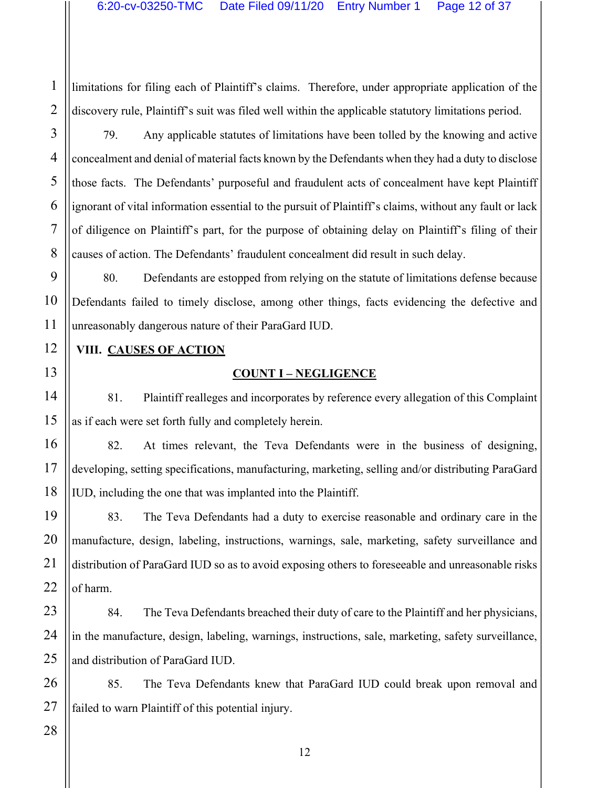limitations for filing each of Plaintiff's claims. Therefore, under appropriate application of the discovery rule, Plaintiff's suit was filed well within the applicable statutory limitations period.

79. Any applicable statutes of limitations have been tolled by the knowing and active concealment and denial of material facts known by the Defendants when they had a duty to disclose those facts. The Defendants' purposeful and fraudulent acts of concealment have kept Plaintiff ignorant of vital information essential to the pursuit of Plaintiff's claims, without any fault or lack of diligence on Plaintiff's part, for the purpose of obtaining delay on Plaintiff's filing of their causes of action. The Defendants' fraudulent concealment did result in such delay.

80. Defendants are estopped from relying on the statute of limitations defense because Defendants failed to timely disclose, among other things, facts evidencing the defective and unreasonably dangerous nature of their ParaGard IUD.

### **VIII. CAUSES OF ACTION**

### **COUNT I – NEGLIGENCE**

81. Plaintiff realleges and incorporates by reference every allegation of this Complaint as if each were set forth fully and completely herein.

82. At times relevant, the Teva Defendants were in the business of designing, developing, setting specifications, manufacturing, marketing, selling and/or distributing ParaGard IUD, including the one that was implanted into the Plaintiff.

83. The Teva Defendants had a duty to exercise reasonable and ordinary care in the manufacture, design, labeling, instructions, warnings, sale, marketing, safety surveillance and distribution of ParaGard IUD so as to avoid exposing others to foreseeable and unreasonable risks of harm.

84. The Teva Defendants breached their duty of care to the Plaintiff and her physicians, in the manufacture, design, labeling, warnings, instructions, sale, marketing, safety surveillance, and distribution of ParaGard IUD.

85. The Teva Defendants knew that ParaGard IUD could break upon removal and failed to warn Plaintiff of this potential injury.

1

2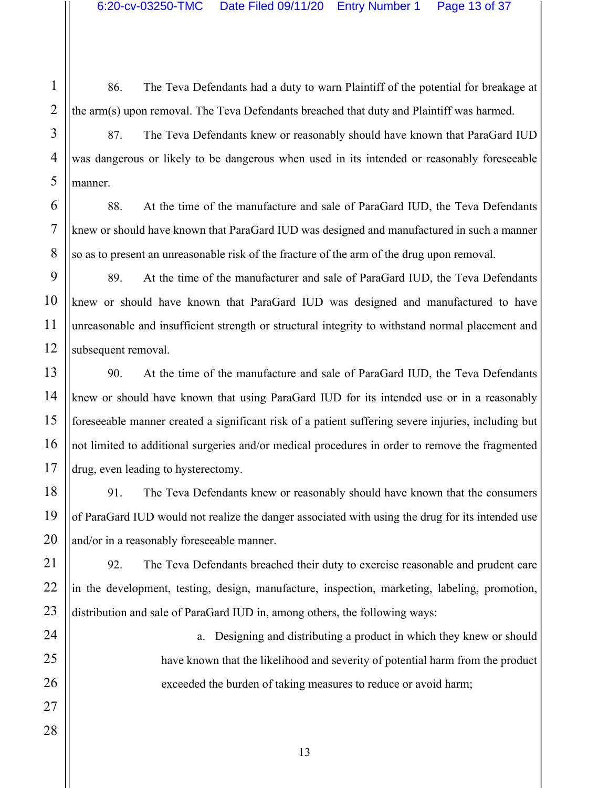86. The Teva Defendants had a duty to warn Plaintiff of the potential for breakage at the arm(s) upon removal. The Teva Defendants breached that duty and Plaintiff was harmed.

87. The Teva Defendants knew or reasonably should have known that ParaGard IUD was dangerous or likely to be dangerous when used in its intended or reasonably foreseeable manner.

88. At the time of the manufacture and sale of ParaGard IUD, the Teva Defendants knew or should have known that ParaGard IUD was designed and manufactured in such a manner so as to present an unreasonable risk of the fracture of the arm of the drug upon removal.

89. At the time of the manufacturer and sale of ParaGard IUD, the Teva Defendants knew or should have known that ParaGard IUD was designed and manufactured to have unreasonable and insufficient strength or structural integrity to withstand normal placement and subsequent removal.

90. At the time of the manufacture and sale of ParaGard IUD, the Teva Defendants knew or should have known that using ParaGard IUD for its intended use or in a reasonably foreseeable manner created a significant risk of a patient suffering severe injuries, including but not limited to additional surgeries and/or medical procedures in order to remove the fragmented drug, even leading to hysterectomy.

91. The Teva Defendants knew or reasonably should have known that the consumers of ParaGard IUD would not realize the danger associated with using the drug for its intended use and/or in a reasonably foreseeable manner.

92. The Teva Defendants breached their duty to exercise reasonable and prudent care in the development, testing, design, manufacture, inspection, marketing, labeling, promotion, distribution and sale of ParaGard IUD in, among others, the following ways:

> a. Designing and distributing a product in which they knew or should have known that the likelihood and severity of potential harm from the product exceeded the burden of taking measures to reduce or avoid harm;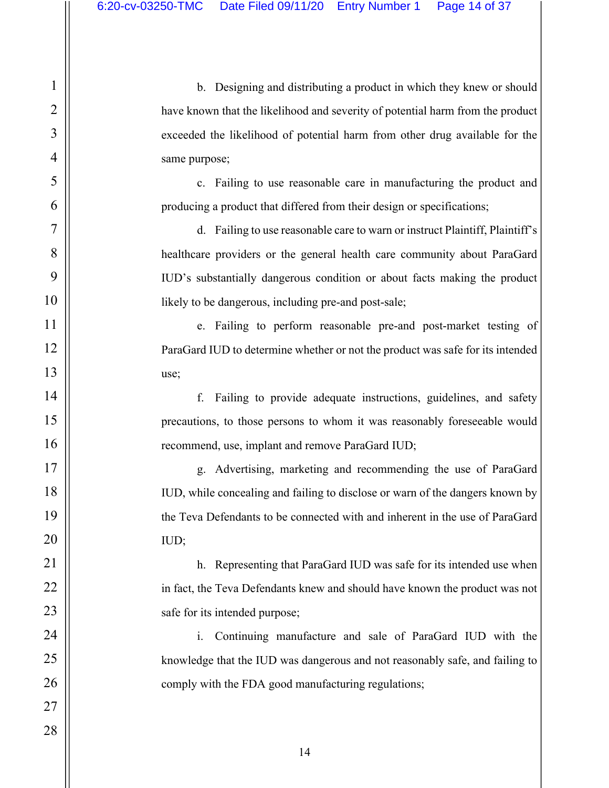b. Designing and distributing a product in which they knew or should have known that the likelihood and severity of potential harm from the product exceeded the likelihood of potential harm from other drug available for the same purpose;

c. Failing to use reasonable care in manufacturing the product and producing a product that differed from their design or specifications;

d. Failing to use reasonable care to warn or instruct Plaintiff, Plaintiff's healthcare providers or the general health care community about ParaGard IUD's substantially dangerous condition or about facts making the product likely to be dangerous, including pre-and post-sale;

e. Failing to perform reasonable pre-and post-market testing of ParaGard IUD to determine whether or not the product was safe for its intended use;

f. Failing to provide adequate instructions, guidelines, and safety precautions, to those persons to whom it was reasonably foreseeable would recommend, use, implant and remove ParaGard IUD;

g. Advertising, marketing and recommending the use of ParaGard IUD, while concealing and failing to disclose or warn of the dangers known by the Teva Defendants to be connected with and inherent in the use of ParaGard IUD;

h. Representing that ParaGard IUD was safe for its intended use when in fact, the Teva Defendants knew and should have known the product was not safe for its intended purpose;

i. Continuing manufacture and sale of ParaGard IUD with the knowledge that the IUD was dangerous and not reasonably safe, and failing to comply with the FDA good manufacturing regulations;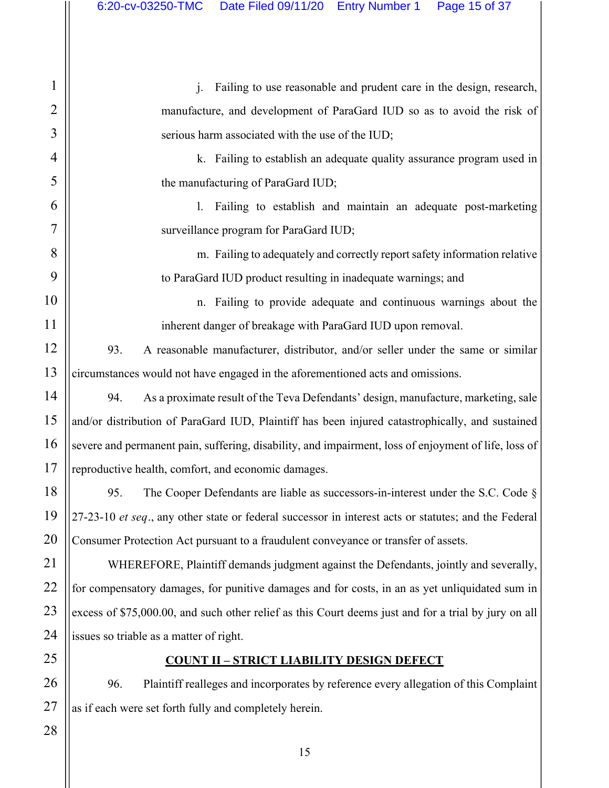j. Failing to use reasonable and prudent care in the design, research, manufacture, and development of ParaGard IUD so as to avoid the risk of serious harm associated with the use of the IUD;

k. Failing to establish an adequate quality assurance program used in the manufacturing of ParaGard IUD;

l. Failing to establish and maintain an adequate post-marketing surveillance program for ParaGard IUD;

m. Failing to adequately and correctly report safety information relative to ParaGard IUD product resulting in inadequate warnings; and

n. Failing to provide adequate and continuous warnings about the inherent danger of breakage with ParaGard IUD upon removal.

93. A reasonable manufacturer, distributor, and/or seller under the same or similar circumstances would not have engaged in the aforementioned acts and omissions.

94. As a proximate result of the Teva Defendants' design, manufacture, marketing, sale and/or distribution of ParaGard IUD, Plaintiff has been injured catastrophically, and sustained severe and permanent pain, suffering, disability, and impairment, loss of enjoyment of life, loss of reproductive health, comfort, and economic damages.

95. The Cooper Defendants are liable as successors-in-interest under the S.C. Code § 27-23-10 *et seq.*, any other state or federal successor in interest acts or statutes; and the Federal Consumer Protection Act pursuant to a fraudulent conveyance or transfer of assets.

WHEREFORE, Plaintiff demands judgment against the Defendants, jointly and severally, for compensatory damages, for punitive damages and for costs, in an as yet unliquidated sum in excess of \$75,000.00, and such other relief as this Court deems just and for a trial by jury on all issues so triable as a matter of right.

# **COUNT II – STRICT LIABILITY DESIGN DEFECT**

96. Plaintiff realleges and incorporates by reference every allegation of this Complaint as if each were set forth fully and completely herein.

28

1

2

3

4

5

6

7

8

9

10

11

12

13

14

15

16

17

18

19

20

21

22

23

24

25

26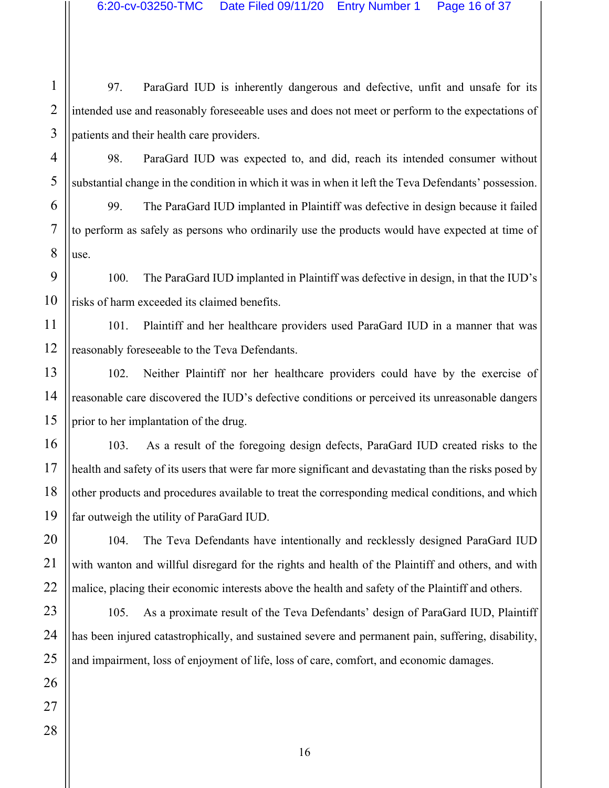97. ParaGard IUD is inherently dangerous and defective, unfit and unsafe for its intended use and reasonably foreseeable uses and does not meet or perform to the expectations of patients and their health care providers.

98. ParaGard IUD was expected to, and did, reach its intended consumer without substantial change in the condition in which it was in when it left the Teva Defendants' possession.

99. The ParaGard IUD implanted in Plaintiff was defective in design because it failed to perform as safely as persons who ordinarily use the products would have expected at time of use.

100. The ParaGard IUD implanted in Plaintiff was defective in design, in that the IUD's risks of harm exceeded its claimed benefits.

101. Plaintiff and her healthcare providers used ParaGard IUD in a manner that was reasonably foreseeable to the Teva Defendants.

102. Neither Plaintiff nor her healthcare providers could have by the exercise of reasonable care discovered the IUD's defective conditions or perceived its unreasonable dangers prior to her implantation of the drug.

103. As a result of the foregoing design defects, ParaGard IUD created risks to the health and safety of its users that were far more significant and devastating than the risks posed by other products and procedures available to treat the corresponding medical conditions, and which far outweigh the utility of ParaGard IUD.

104. The Teva Defendants have intentionally and recklessly designed ParaGard IUD with wanton and willful disregard for the rights and health of the Plaintiff and others, and with malice, placing their economic interests above the health and safety of the Plaintiff and others.

105. As a proximate result of the Teva Defendants' design of ParaGard IUD, Plaintiff has been injured catastrophically, and sustained severe and permanent pain, suffering, disability, and impairment, loss of enjoyment of life, loss of care, comfort, and economic damages.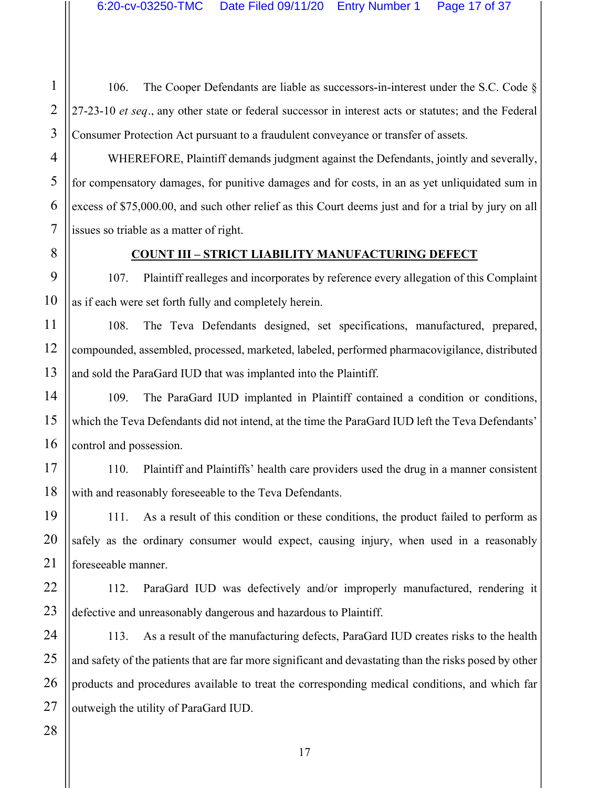106. The Cooper Defendants are liable as successors-in-interest under the S.C. Code § 27-23-10 *et seq.*, any other state or federal successor in interest acts or statutes; and the Federal Consumer Protection Act pursuant to a fraudulent conveyance or transfer of assets.

WHEREFORE, Plaintiff demands judgment against the Defendants, jointly and severally, for compensatory damages, for punitive damages and for costs, in an as yet unliquidated sum in excess of \$75,000.00, and such other relief as this Court deems just and for a trial by jury on all issues so triable as a matter of right.

### **COUNT III – STRICT LIABILITY MANUFACTURING DEFECT**

107. Plaintiff realleges and incorporates by reference every allegation of this Complaint as if each were set forth fully and completely herein.

108. The Teva Defendants designed, set specifications, manufactured, prepared, compounded, assembled, processed, marketed, labeled, performed pharmacovigilance, distributed and sold the ParaGard IUD that was implanted into the Plaintiff.

109. The ParaGard IUD implanted in Plaintiff contained a condition or conditions, which the Teva Defendants did not intend, at the time the ParaGard IUD left the Teva Defendants' control and possession.

110. Plaintiff and Plaintiffs' health care providers used the drug in a manner consistent with and reasonably foreseeable to the Teva Defendants.

111. As a result of this condition or these conditions, the product failed to perform as safely as the ordinary consumer would expect, causing injury, when used in a reasonably foreseeable manner.

112. ParaGard IUD was defectively and/or improperly manufactured, rendering it defective and unreasonably dangerous and hazardous to Plaintiff.

113. As a result of the manufacturing defects, ParaGard IUD creates risks to the health and safety of the patients that are far more significant and devastating than the risks posed by other products and procedures available to treat the corresponding medical conditions, and which far outweigh the utility of ParaGard IUD.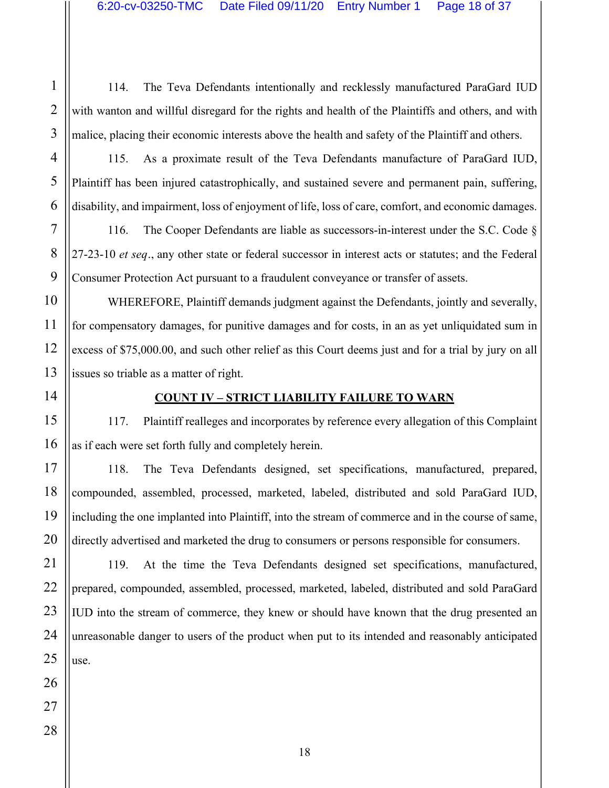114. The Teva Defendants intentionally and recklessly manufactured ParaGard IUD with wanton and willful disregard for the rights and health of the Plaintiffs and others, and with malice, placing their economic interests above the health and safety of the Plaintiff and others.

115. As a proximate result of the Teva Defendants manufacture of ParaGard IUD, Plaintiff has been injured catastrophically, and sustained severe and permanent pain, suffering, disability, and impairment, loss of enjoyment of life, loss of care, comfort, and economic damages.

116. The Cooper Defendants are liable as successors-in-interest under the S.C. Code § 27-23-10 *et seq.*, any other state or federal successor in interest acts or statutes; and the Federal Consumer Protection Act pursuant to a fraudulent conveyance or transfer of assets.

WHEREFORE, Plaintiff demands judgment against the Defendants, jointly and severally, for compensatory damages, for punitive damages and for costs, in an as yet unliquidated sum in excess of \$75,000.00, and such other relief as this Court deems just and for a trial by jury on all issues so triable as a matter of right.

#### **COUNT IV – STRICT LIABILITY FAILURE TO WARN**

117. Plaintiff realleges and incorporates by reference every allegation of this Complaint as if each were set forth fully and completely herein.

118. The Teva Defendants designed, set specifications, manufactured, prepared, compounded, assembled, processed, marketed, labeled, distributed and sold ParaGard IUD, including the one implanted into Plaintiff, into the stream of commerce and in the course of same, directly advertised and marketed the drug to consumers or persons responsible for consumers.

119. At the time the Teva Defendants designed set specifications, manufactured, prepared, compounded, assembled, processed, marketed, labeled, distributed and sold ParaGard IUD into the stream of commerce, they knew or should have known that the drug presented an unreasonable danger to users of the product when put to its intended and reasonably anticipated use.

1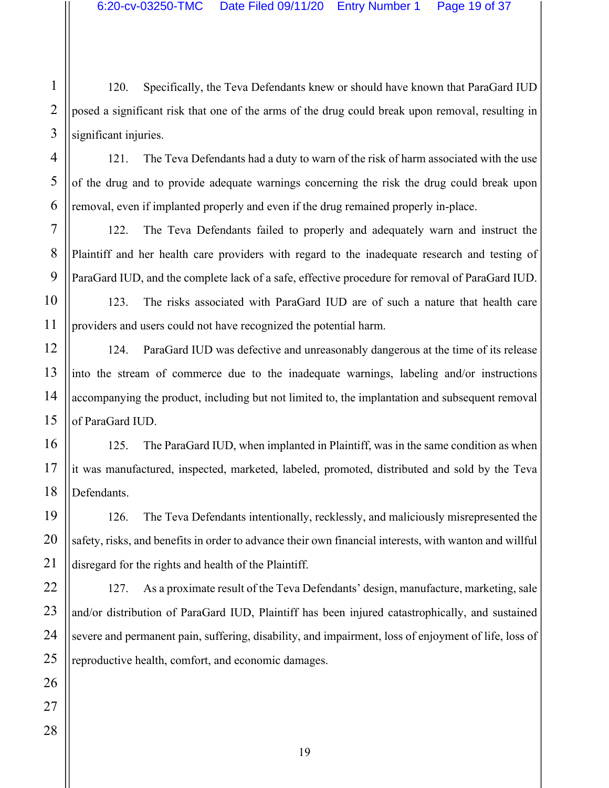120. Specifically, the Teva Defendants knew or should have known that ParaGard IUD posed a significant risk that one of the arms of the drug could break upon removal, resulting in significant injuries.

121. The Teva Defendants had a duty to warn of the risk of harm associated with the use of the drug and to provide adequate warnings concerning the risk the drug could break upon removal, even if implanted properly and even if the drug remained properly in-place.

122. The Teva Defendants failed to properly and adequately warn and instruct the Plaintiff and her health care providers with regard to the inadequate research and testing of ParaGard IUD, and the complete lack of a safe, effective procedure for removal of ParaGard IUD.

123. The risks associated with ParaGard IUD are of such a nature that health care providers and users could not have recognized the potential harm.

124. ParaGard IUD was defective and unreasonably dangerous at the time of its release into the stream of commerce due to the inadequate warnings, labeling and/or instructions accompanying the product, including but not limited to, the implantation and subsequent removal of ParaGard IUD.

125. The ParaGard IUD, when implanted in Plaintiff, was in the same condition as when it was manufactured, inspected, marketed, labeled, promoted, distributed and sold by the Teva Defendants.

126. The Teva Defendants intentionally, recklessly, and maliciously misrepresented the safety, risks, and benefits in order to advance their own financial interests, with wanton and willful disregard for the rights and health of the Plaintiff.

127. As a proximate result of the Teva Defendants' design, manufacture, marketing, sale and/or distribution of ParaGard IUD, Plaintiff has been injured catastrophically, and sustained severe and permanent pain, suffering, disability, and impairment, loss of enjoyment of life, loss of reproductive health, comfort, and economic damages.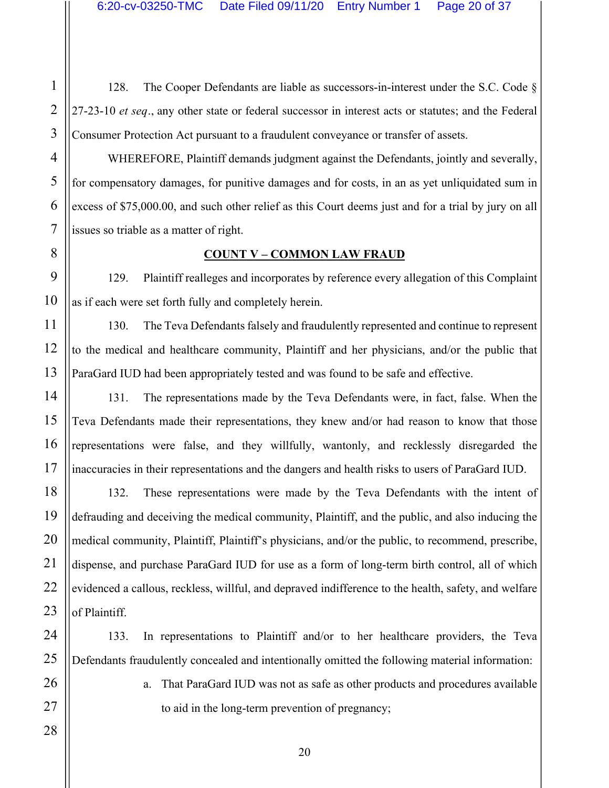128. The Cooper Defendants are liable as successors-in-interest under the S.C. Code § 27-23-10 *et seq.*, any other state or federal successor in interest acts or statutes; and the Federal Consumer Protection Act pursuant to a fraudulent conveyance or transfer of assets.

WHEREFORE, Plaintiff demands judgment against the Defendants, jointly and severally, for compensatory damages, for punitive damages and for costs, in an as yet unliquidated sum in excess of \$75,000.00, and such other relief as this Court deems just and for a trial by jury on all issues so triable as a matter of right.

#### **COUNT V – COMMON LAW FRAUD**

129. Plaintiff realleges and incorporates by reference every allegation of this Complaint as if each were set forth fully and completely herein.

130. The Teva Defendants falsely and fraudulently represented and continue to represent to the medical and healthcare community, Plaintiff and her physicians, and/or the public that ParaGard IUD had been appropriately tested and was found to be safe and effective.

131. The representations made by the Teva Defendants were, in fact, false. When the Teva Defendants made their representations, they knew and/or had reason to know that those representations were false, and they willfully, wantonly, and recklessly disregarded the inaccuracies in their representations and the dangers and health risks to users of ParaGard IUD.

132. These representations were made by the Teva Defendants with the intent of defrauding and deceiving the medical community, Plaintiff, and the public, and also inducing the medical community, Plaintiff, Plaintiff's physicians, and/or the public, to recommend, prescribe, dispense, and purchase ParaGard IUD for use as a form of long-term birth control, all of which evidenced a callous, reckless, willful, and depraved indifference to the health, safety, and welfare of Plaintiff.

133. In representations to Plaintiff and/or to her healthcare providers, the Teva Defendants fraudulently concealed and intentionally omitted the following material information:

> a. That ParaGard IUD was not as safe as other products and procedures available to aid in the long-term prevention of pregnancy;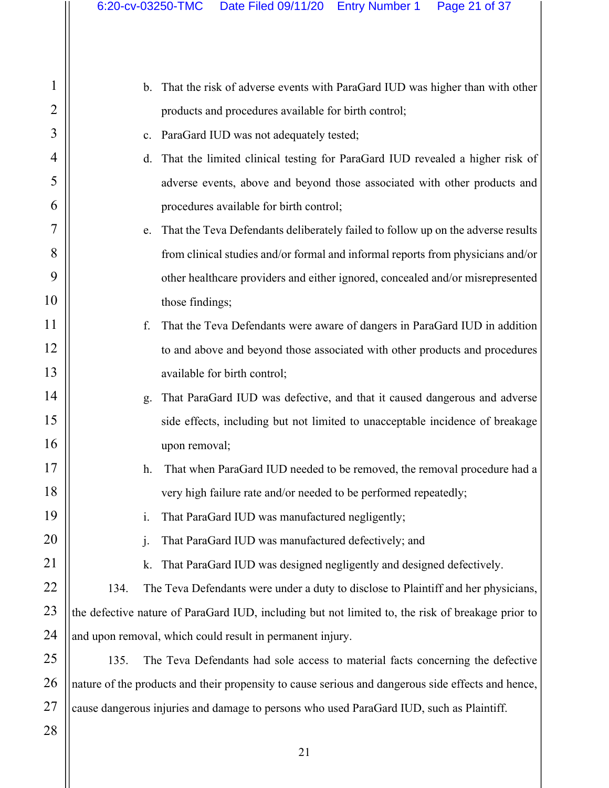| 1               |
|-----------------|
| $\overline{c}$  |
| 3               |
| 4               |
| 5               |
| 6               |
| 7               |
| 8               |
| 9               |
| 10              |
| 11              |
| 12              |
| 13              |
| 14              |
| 15              |
| 16              |
| 17              |
| 18              |
| 19              |
| $\overline{20}$ |
| $\overline{21}$ |
| 22              |
| 23              |
| 24              |
| 25              |
| 26              |
| 27              |
| 28              |

| b. That the risk of adverse events with ParaGard IUD was higher than with other |
|---------------------------------------------------------------------------------|
| products and procedures available for birth control;                            |

- c. ParaGard IUD was not adequately tested;
- d. That the limited clinical testing for ParaGard IUD revealed a higher risk of adverse events, above and beyond those associated with other products and procedures available for birth control;
- e. That the Teva Defendants deliberately failed to follow up on the adverse results from clinical studies and/or formal and informal reports from physicians and/or other healthcare providers and either ignored, concealed and/or misrepresented those findings;
- f. That the Teva Defendants were aware of dangers in ParaGard IUD in addition to and above and beyond those associated with other products and procedures available for birth control;
	- g. That ParaGard IUD was defective, and that it caused dangerous and adverse side effects, including but not limited to unacceptable incidence of breakage upon removal;
	- h. That when ParaGard IUD needed to be removed, the removal procedure had a very high failure rate and/or needed to be performed repeatedly;
		- i. That ParaGard IUD was manufactured negligently;
		- j. That ParaGard IUD was manufactured defectively; and
		- k. That ParaGard IUD was designed negligently and designed defectively.

134. The Teva Defendants were under a duty to disclose to Plaintiff and her physicians, the defective nature of ParaGard IUD, including but not limited to, the risk of breakage prior to and upon removal, which could result in permanent injury.

135. The Teva Defendants had sole access to material facts concerning the defective nature of the products and their propensity to cause serious and dangerous side effects and hence, cause dangerous injuries and damage to persons who used ParaGard IUD, such as Plaintiff.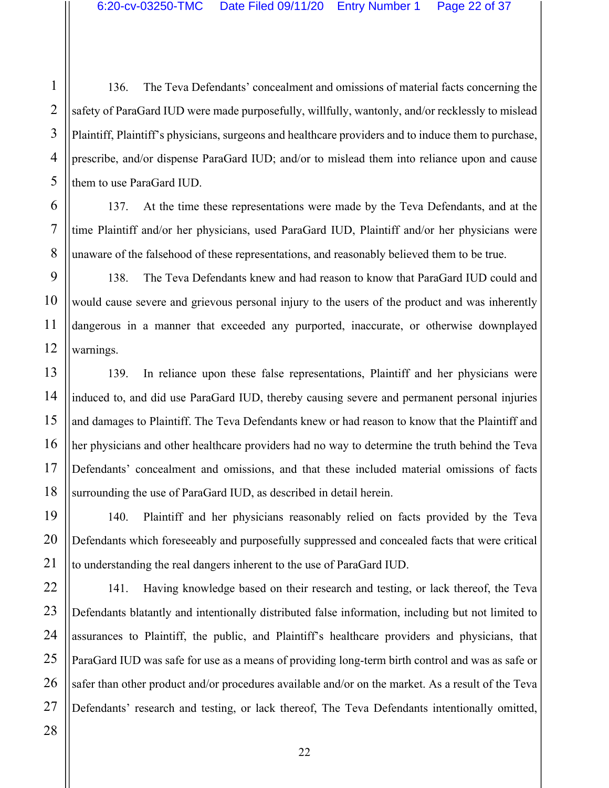136. The Teva Defendants' concealment and omissions of material facts concerning the safety of ParaGard IUD were made purposefully, willfully, wantonly, and/or recklessly to mislead Plaintiff, Plaintiff's physicians, surgeons and healthcare providers and to induce them to purchase, prescribe, and/or dispense ParaGard IUD; and/or to mislead them into reliance upon and cause them to use ParaGard IUD.

137. At the time these representations were made by the Teva Defendants, and at the time Plaintiff and/or her physicians, used ParaGard IUD, Plaintiff and/or her physicians were unaware of the falsehood of these representations, and reasonably believed them to be true.

138. The Teva Defendants knew and had reason to know that ParaGard IUD could and would cause severe and grievous personal injury to the users of the product and was inherently dangerous in a manner that exceeded any purported, inaccurate, or otherwise downplayed warnings.

139. In reliance upon these false representations, Plaintiff and her physicians were induced to, and did use ParaGard IUD, thereby causing severe and permanent personal injuries and damages to Plaintiff. The Teva Defendants knew or had reason to know that the Plaintiff and her physicians and other healthcare providers had no way to determine the truth behind the Teva Defendants' concealment and omissions, and that these included material omissions of facts surrounding the use of ParaGard IUD, as described in detail herein.

140. Plaintiff and her physicians reasonably relied on facts provided by the Teva Defendants which foreseeably and purposefully suppressed and concealed facts that were critical to understanding the real dangers inherent to the use of ParaGard IUD.

141. Having knowledge based on their research and testing, or lack thereof, the Teva Defendants blatantly and intentionally distributed false information, including but not limited to assurances to Plaintiff, the public, and Plaintiff's healthcare providers and physicians, that ParaGard IUD was safe for use as a means of providing long-term birth control and was as safe or safer than other product and/or procedures available and/or on the market. As a result of the Teva Defendants' research and testing, or lack thereof, The Teva Defendants intentionally omitted,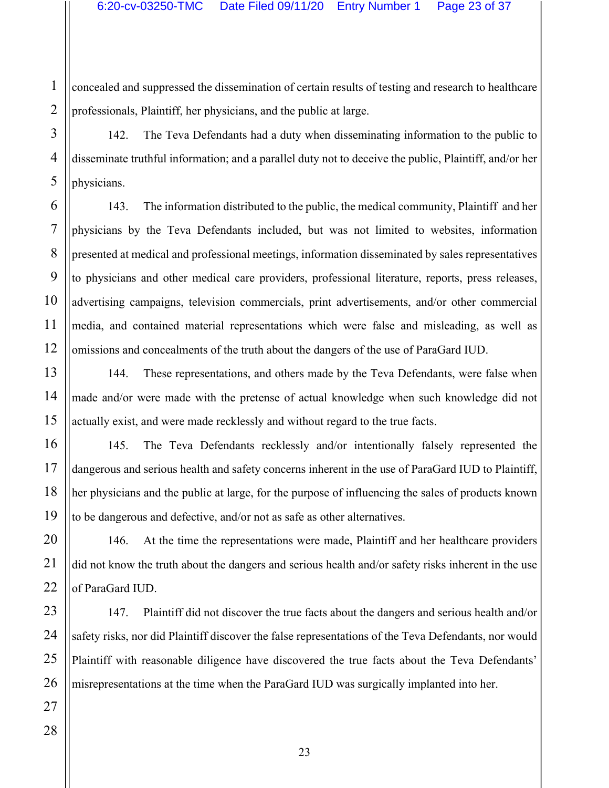concealed and suppressed the dissemination of certain results of testing and research to healthcare professionals, Plaintiff, her physicians, and the public at large.

142. The Teva Defendants had a duty when disseminating information to the public to disseminate truthful information; and a parallel duty not to deceive the public, Plaintiff, and/or her physicians.

143. The information distributed to the public, the medical community, Plaintiff and her physicians by the Teva Defendants included, but was not limited to websites, information presented at medical and professional meetings, information disseminated by sales representatives to physicians and other medical care providers, professional literature, reports, press releases, advertising campaigns, television commercials, print advertisements, and/or other commercial media, and contained material representations which were false and misleading, as well as omissions and concealments of the truth about the dangers of the use of ParaGard IUD.

144. These representations, and others made by the Teva Defendants, were false when made and/or were made with the pretense of actual knowledge when such knowledge did not actually exist, and were made recklessly and without regard to the true facts.

145. The Teva Defendants recklessly and/or intentionally falsely represented the dangerous and serious health and safety concerns inherent in the use of ParaGard IUD to Plaintiff, her physicians and the public at large, for the purpose of influencing the sales of products known to be dangerous and defective, and/or not as safe as other alternatives.

146. At the time the representations were made, Plaintiff and her healthcare providers did not know the truth about the dangers and serious health and/or safety risks inherent in the use of ParaGard IUD.

147. Plaintiff did not discover the true facts about the dangers and serious health and/or safety risks, nor did Plaintiff discover the false representations of the Teva Defendants, nor would Plaintiff with reasonable diligence have discovered the true facts about the Teva Defendants' misrepresentations at the time when the ParaGard IUD was surgically implanted into her.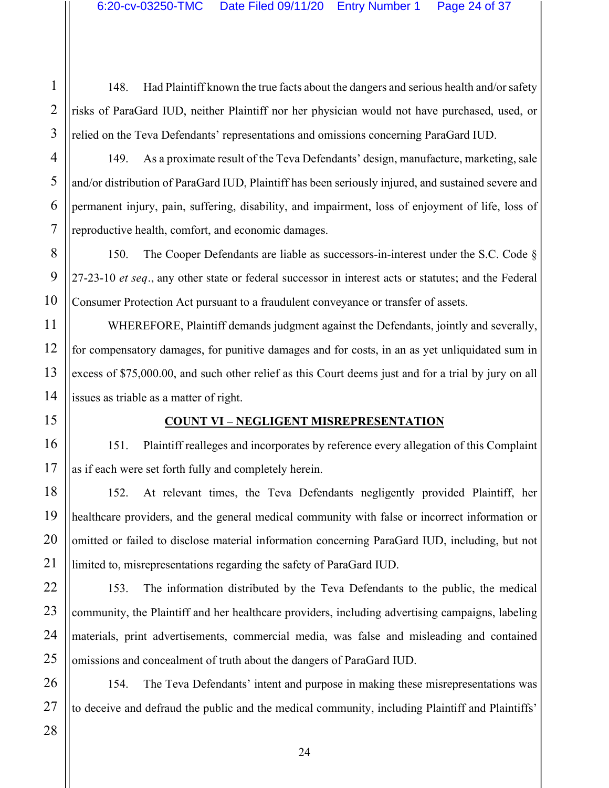148. Had Plaintiff known the true facts about the dangers and serious health and/or safety risks of ParaGard IUD, neither Plaintiff nor her physician would not have purchased, used, or relied on the Teva Defendants' representations and omissions concerning ParaGard IUD.

149. As a proximate result of the Teva Defendants' design, manufacture, marketing, sale and/or distribution of ParaGard IUD, Plaintiff has been seriously injured, and sustained severe and permanent injury, pain, suffering, disability, and impairment, loss of enjoyment of life, loss of reproductive health, comfort, and economic damages.

150. The Cooper Defendants are liable as successors-in-interest under the S.C. Code § 27-23-10 *et seq.*, any other state or federal successor in interest acts or statutes; and the Federal Consumer Protection Act pursuant to a fraudulent conveyance or transfer of assets.

WHEREFORE, Plaintiff demands judgment against the Defendants, jointly and severally, for compensatory damages, for punitive damages and for costs, in an as yet unliquidated sum in excess of \$75,000.00, and such other relief as this Court deems just and for a trial by jury on all issues as triable as a matter of right.

#### **COUNT VI – NEGLIGENT MISREPRESENTATION**

151. Plaintiff realleges and incorporates by reference every allegation of this Complaint as if each were set forth fully and completely herein.

152. At relevant times, the Teva Defendants negligently provided Plaintiff, her healthcare providers, and the general medical community with false or incorrect information or omitted or failed to disclose material information concerning ParaGard IUD, including, but not limited to, misrepresentations regarding the safety of ParaGard IUD.

153. The information distributed by the Teva Defendants to the public, the medical community, the Plaintiff and her healthcare providers, including advertising campaigns, labeling materials, print advertisements, commercial media, was false and misleading and contained omissions and concealment of truth about the dangers of ParaGard IUD.

154. The Teva Defendants' intent and purpose in making these misrepresentations was to deceive and defraud the public and the medical community, including Plaintiff and Plaintiffs'

1

2

3

4

5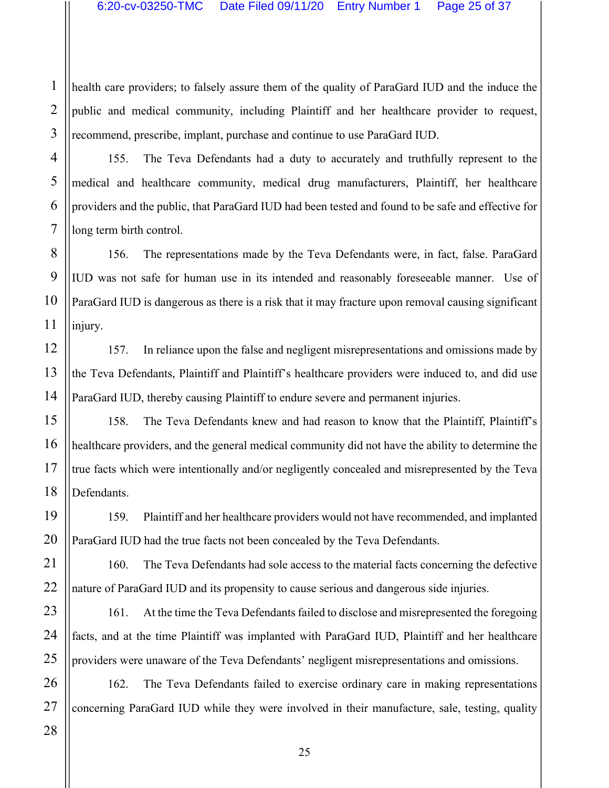health care providers; to falsely assure them of the quality of ParaGard IUD and the induce the public and medical community, including Plaintiff and her healthcare provider to request, recommend, prescribe, implant, purchase and continue to use ParaGard IUD.

155. The Teva Defendants had a duty to accurately and truthfully represent to the medical and healthcare community, medical drug manufacturers, Plaintiff, her healthcare providers and the public, that ParaGard IUD had been tested and found to be safe and effective for long term birth control.

156. The representations made by the Teva Defendants were, in fact, false. ParaGard IUD was not safe for human use in its intended and reasonably foreseeable manner. Use of ParaGard IUD is dangerous as there is a risk that it may fracture upon removal causing significant injury.

157. In reliance upon the false and negligent misrepresentations and omissions made by the Teva Defendants, Plaintiff and Plaintiff's healthcare providers were induced to, and did use ParaGard IUD, thereby causing Plaintiff to endure severe and permanent injuries.

158. The Teva Defendants knew and had reason to know that the Plaintiff, Plaintiff's healthcare providers, and the general medical community did not have the ability to determine the true facts which were intentionally and/or negligently concealed and misrepresented by the Teva Defendants.

159. Plaintiff and her healthcare providers would not have recommended, and implanted ParaGard IUD had the true facts not been concealed by the Teva Defendants.

160. The Teva Defendants had sole access to the material facts concerning the defective nature of ParaGard IUD and its propensity to cause serious and dangerous side injuries.

161. At the time the Teva Defendants failed to disclose and misrepresented the foregoing facts, and at the time Plaintiff was implanted with ParaGard IUD, Plaintiff and her healthcare providers were unaware of the Teva Defendants' negligent misrepresentations and omissions.

162. The Teva Defendants failed to exercise ordinary care in making representations concerning ParaGard IUD while they were involved in their manufacture, sale, testing, quality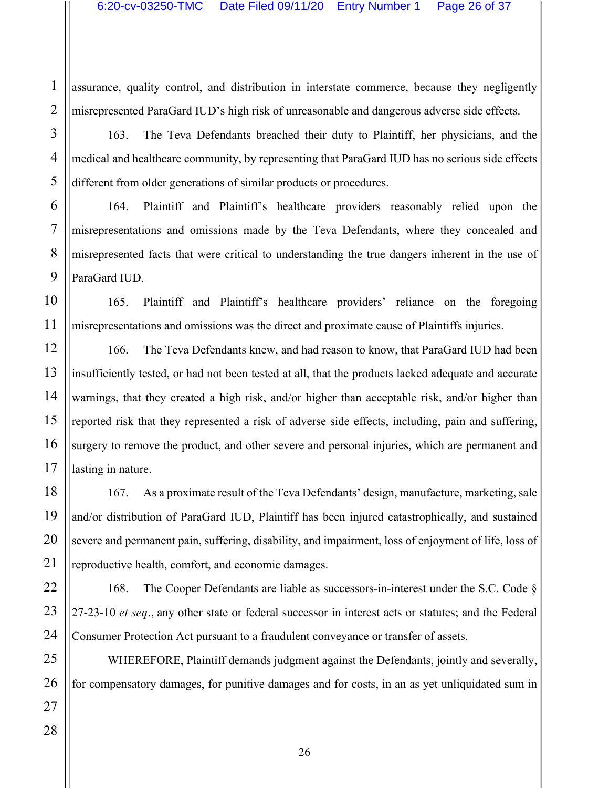assurance, quality control, and distribution in interstate commerce, because they negligently misrepresented ParaGard IUD's high risk of unreasonable and dangerous adverse side effects.

163. The Teva Defendants breached their duty to Plaintiff, her physicians, and the medical and healthcare community, by representing that ParaGard IUD has no serious side effects different from older generations of similar products or procedures.

164. Plaintiff and Plaintiff's healthcare providers reasonably relied upon the misrepresentations and omissions made by the Teva Defendants, where they concealed and misrepresented facts that were critical to understanding the true dangers inherent in the use of ParaGard IUD.

165. Plaintiff and Plaintiff's healthcare providers' reliance on the foregoing misrepresentations and omissions was the direct and proximate cause of Plaintiffs injuries.

166. The Teva Defendants knew, and had reason to know, that ParaGard IUD had been insufficiently tested, or had not been tested at all, that the products lacked adequate and accurate warnings, that they created a high risk, and/or higher than acceptable risk, and/or higher than reported risk that they represented a risk of adverse side effects, including, pain and suffering, surgery to remove the product, and other severe and personal injuries, which are permanent and lasting in nature.

167. As a proximate result of the Teva Defendants' design, manufacture, marketing, sale and/or distribution of ParaGard IUD, Plaintiff has been injured catastrophically, and sustained severe and permanent pain, suffering, disability, and impairment, loss of enjoyment of life, loss of reproductive health, comfort, and economic damages.

168. The Cooper Defendants are liable as successors-in-interest under the S.C. Code § 27-23-10 *et seq.*, any other state or federal successor in interest acts or statutes; and the Federal Consumer Protection Act pursuant to a fraudulent conveyance or transfer of assets.

WHEREFORE, Plaintiff demands judgment against the Defendants, jointly and severally, for compensatory damages, for punitive damages and for costs, in an as yet unliquidated sum in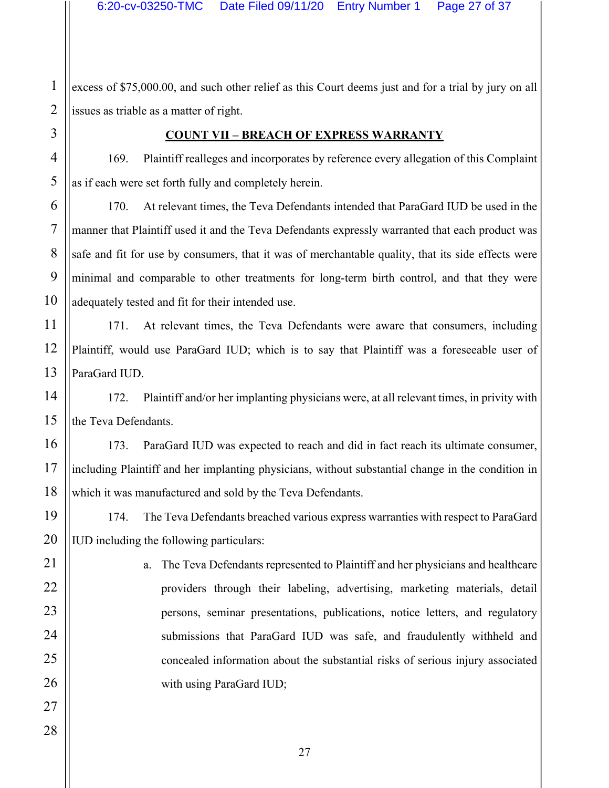excess of \$75,000.00, and such other relief as this Court deems just and for a trial by jury on all issues as triable as a matter of right.

#### **COUNT VII – BREACH OF EXPRESS WARRANTY**

169. Plaintiff realleges and incorporates by reference every allegation of this Complaint as if each were set forth fully and completely herein.

170. At relevant times, the Teva Defendants intended that ParaGard IUD be used in the manner that Plaintiff used it and the Teva Defendants expressly warranted that each product was safe and fit for use by consumers, that it was of merchantable quality, that its side effects were minimal and comparable to other treatments for long-term birth control, and that they were adequately tested and fit for their intended use.

171. At relevant times, the Teva Defendants were aware that consumers, including Plaintiff, would use ParaGard IUD; which is to say that Plaintiff was a foreseeable user of ParaGard IUD.

172. Plaintiff and/or her implanting physicians were, at all relevant times, in privity with the Teva Defendants.

173. ParaGard IUD was expected to reach and did in fact reach its ultimate consumer, including Plaintiff and her implanting physicians, without substantial change in the condition in which it was manufactured and sold by the Teva Defendants.

174. The Teva Defendants breached various express warranties with respect to ParaGard IUD including the following particulars:

> a. The Teva Defendants represented to Plaintiff and her physicians and healthcare providers through their labeling, advertising, marketing materials, detail persons, seminar presentations, publications, notice letters, and regulatory submissions that ParaGard IUD was safe, and fraudulently withheld and concealed information about the substantial risks of serious injury associated with using ParaGard IUD;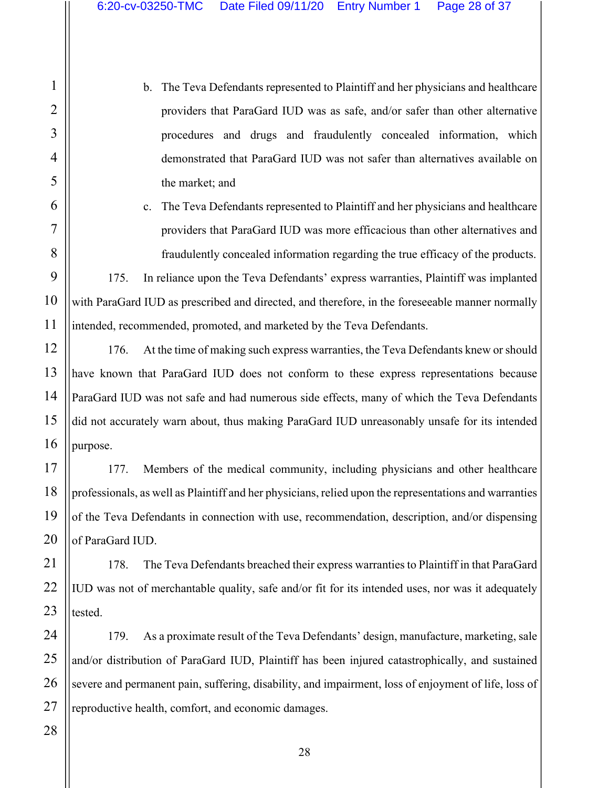b. The Teva Defendants represented to Plaintiff and her physicians and healthcare providers that ParaGard IUD was as safe, and/or safer than other alternative procedures and drugs and fraudulently concealed information, which demonstrated that ParaGard IUD was not safer than alternatives available on the market; and

c. The Teva Defendants represented to Plaintiff and her physicians and healthcare providers that ParaGard IUD was more efficacious than other alternatives and fraudulently concealed information regarding the true efficacy of the products.

175. In reliance upon the Teva Defendants' express warranties, Plaintiff was implanted with ParaGard IUD as prescribed and directed, and therefore, in the foreseeable manner normally intended, recommended, promoted, and marketed by the Teva Defendants.

176. At the time of making such express warranties, the Teva Defendants knew or should have known that ParaGard IUD does not conform to these express representations because ParaGard IUD was not safe and had numerous side effects, many of which the Teva Defendants did not accurately warn about, thus making ParaGard IUD unreasonably unsafe for its intended purpose.

177. Members of the medical community, including physicians and other healthcare professionals, as well as Plaintiff and her physicians, relied upon the representations and warranties of the Teva Defendants in connection with use, recommendation, description, and/or dispensing of ParaGard IUD.

178. The Teva Defendants breached their express warranties to Plaintiff in that ParaGard IUD was not of merchantable quality, safe and/or fit for its intended uses, nor was it adequately tested.

179. As a proximate result of the Teva Defendants' design, manufacture, marketing, sale and/or distribution of ParaGard IUD, Plaintiff has been injured catastrophically, and sustained severe and permanent pain, suffering, disability, and impairment, loss of enjoyment of life, loss of reproductive health, comfort, and economic damages.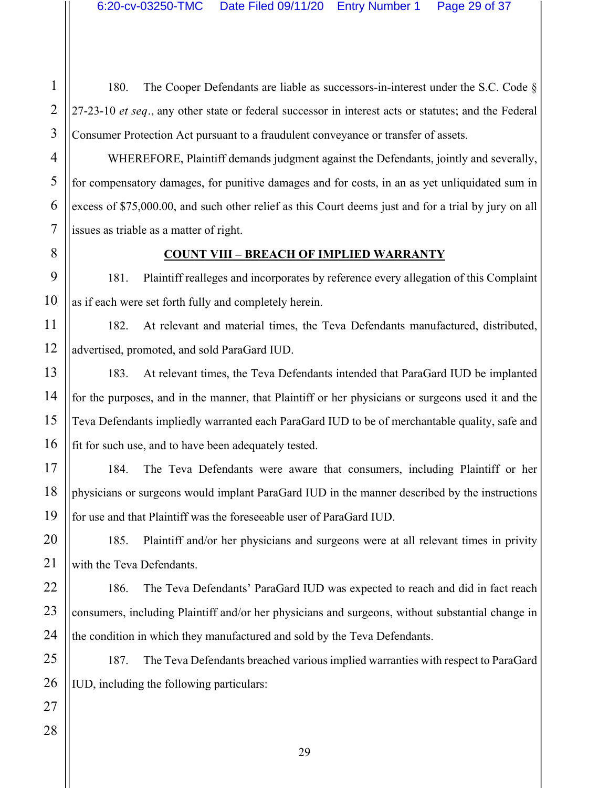180. The Cooper Defendants are liable as successors-in-interest under the S.C. Code § 27-23-10 *et seq.*, any other state or federal successor in interest acts or statutes; and the Federal Consumer Protection Act pursuant to a fraudulent conveyance or transfer of assets.

WHEREFORE, Plaintiff demands judgment against the Defendants, jointly and severally, for compensatory damages, for punitive damages and for costs, in an as yet unliquidated sum in excess of \$75,000.00, and such other relief as this Court deems just and for a trial by jury on all issues as triable as a matter of right.

#### **COUNT VIII – BREACH OF IMPLIED WARRANTY**

181. Plaintiff realleges and incorporates by reference every allegation of this Complaint as if each were set forth fully and completely herein.

182. At relevant and material times, the Teva Defendants manufactured, distributed, advertised, promoted, and sold ParaGard IUD.

183. At relevant times, the Teva Defendants intended that ParaGard IUD be implanted for the purposes, and in the manner, that Plaintiff or her physicians or surgeons used it and the Teva Defendants impliedly warranted each ParaGard IUD to be of merchantable quality, safe and fit for such use, and to have been adequately tested.

184. The Teva Defendants were aware that consumers, including Plaintiff or her physicians or surgeons would implant ParaGard IUD in the manner described by the instructions for use and that Plaintiff was the foreseeable user of ParaGard IUD.

185. Plaintiff and/or her physicians and surgeons were at all relevant times in privity with the Teva Defendants.

186. The Teva Defendants' ParaGard IUD was expected to reach and did in fact reach consumers, including Plaintiff and/or her physicians and surgeons, without substantial change in the condition in which they manufactured and sold by the Teva Defendants.

187. The Teva Defendants breached various implied warranties with respect to ParaGard IUD, including the following particulars: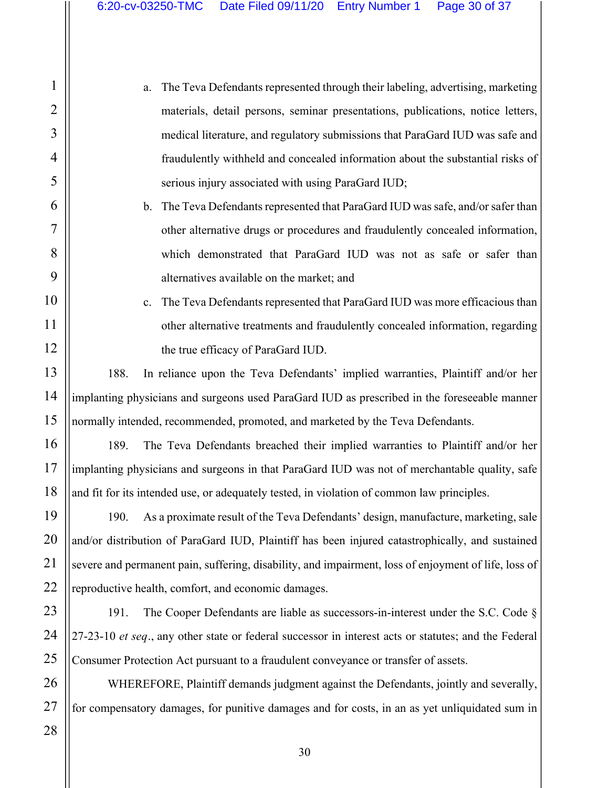a. The Teva Defendants represented through their labeling, advertising, marketing materials, detail persons, seminar presentations, publications, notice letters, medical literature, and regulatory submissions that ParaGard IUD was safe and fraudulently withheld and concealed information about the substantial risks of serious injury associated with using ParaGard IUD;

b. The Teva Defendants represented that ParaGard IUD was safe, and/or safer than other alternative drugs or procedures and fraudulently concealed information, which demonstrated that ParaGard IUD was not as safe or safer than alternatives available on the market; and

c. The Teva Defendants represented that ParaGard IUD was more efficacious than other alternative treatments and fraudulently concealed information, regarding the true efficacy of ParaGard IUD.

188. In reliance upon the Teva Defendants' implied warranties, Plaintiff and/or her implanting physicians and surgeons used ParaGard IUD as prescribed in the foreseeable manner normally intended, recommended, promoted, and marketed by the Teva Defendants.

189. The Teva Defendants breached their implied warranties to Plaintiff and/or her implanting physicians and surgeons in that ParaGard IUD was not of merchantable quality, safe and fit for its intended use, or adequately tested, in violation of common law principles.

190. As a proximate result of the Teva Defendants' design, manufacture, marketing, sale and/or distribution of ParaGard IUD, Plaintiff has been injured catastrophically, and sustained severe and permanent pain, suffering, disability, and impairment, loss of enjoyment of life, loss of reproductive health, comfort, and economic damages.

191. The Cooper Defendants are liable as successors-in-interest under the S.C. Code § 27-23-10 *et seq.*, any other state or federal successor in interest acts or statutes; and the Federal Consumer Protection Act pursuant to a fraudulent conveyance or transfer of assets.

WHEREFORE, Plaintiff demands judgment against the Defendants, jointly and severally, for compensatory damages, for punitive damages and for costs, in an as yet unliquidated sum in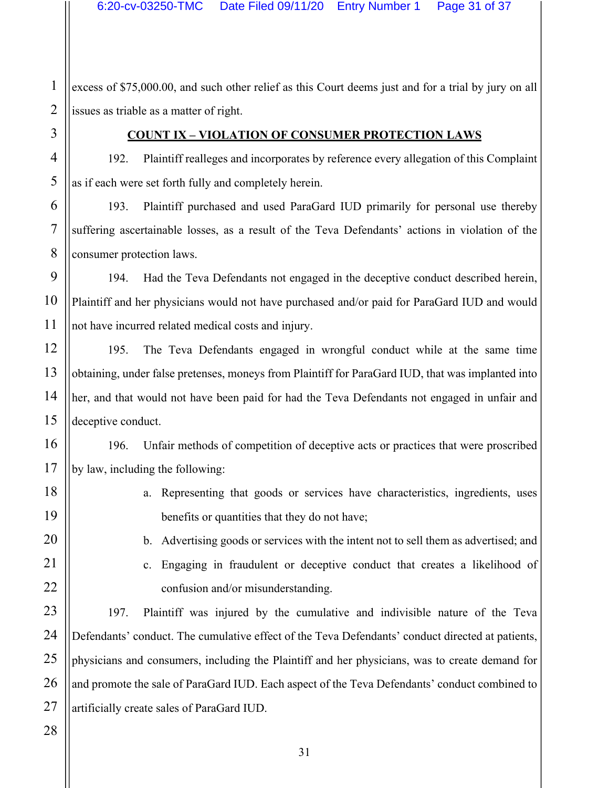excess of \$75,000.00, and such other relief as this Court deems just and for a trial by jury on all issues as triable as a matter of right.

#### **COUNT IX – VIOLATION OF CONSUMER PROTECTION LAWS**

192. Plaintiff realleges and incorporates by reference every allegation of this Complaint as if each were set forth fully and completely herein.

193. Plaintiff purchased and used ParaGard IUD primarily for personal use thereby suffering ascertainable losses, as a result of the Teva Defendants' actions in violation of the consumer protection laws.

194. Had the Teva Defendants not engaged in the deceptive conduct described herein, Plaintiff and her physicians would not have purchased and/or paid for ParaGard IUD and would not have incurred related medical costs and injury.

195. The Teva Defendants engaged in wrongful conduct while at the same time obtaining, under false pretenses, moneys from Plaintiff for ParaGard IUD, that was implanted into her, and that would not have been paid for had the Teva Defendants not engaged in unfair and deceptive conduct.

196. Unfair methods of competition of deceptive acts or practices that were proscribed by law, including the following:

- a. Representing that goods or services have characteristics, ingredients, uses benefits or quantities that they do not have;
	- b. Advertising goods or services with the intent not to sell them as advertised; and
	- c. Engaging in fraudulent or deceptive conduct that creates a likelihood of confusion and/or misunderstanding.

197. Plaintiff was injured by the cumulative and indivisible nature of the Teva Defendants' conduct. The cumulative effect of the Teva Defendants' conduct directed at patients, physicians and consumers, including the Plaintiff and her physicians, was to create demand for and promote the sale of ParaGard IUD. Each aspect of the Teva Defendants' conduct combined to artificially create sales of ParaGard IUD.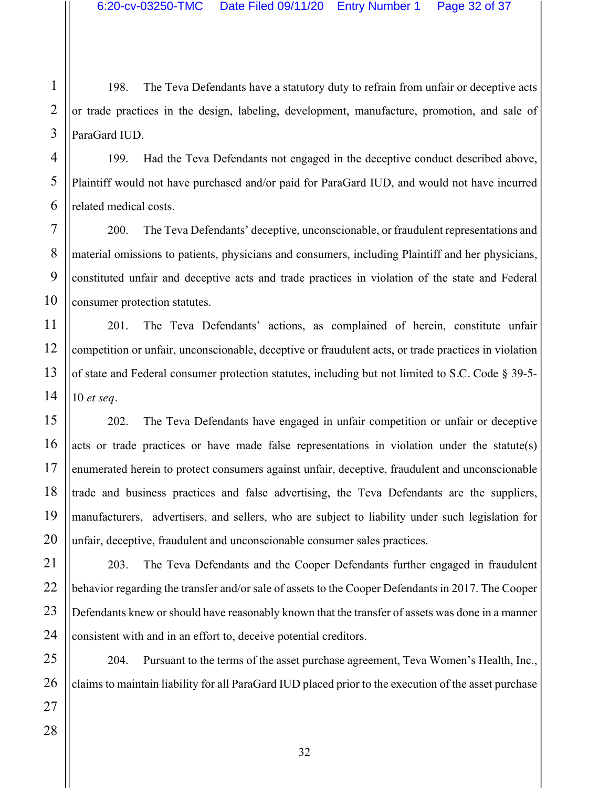198. The Teva Defendants have a statutory duty to refrain from unfair or deceptive acts or trade practices in the design, labeling, development, manufacture, promotion, and sale of ParaGard IUD.

199. Had the Teva Defendants not engaged in the deceptive conduct described above, Plaintiff would not have purchased and/or paid for ParaGard IUD, and would not have incurred related medical costs.

200. The Teva Defendants' deceptive, unconscionable, or fraudulent representations and material omissions to patients, physicians and consumers, including Plaintiff and her physicians, constituted unfair and deceptive acts and trade practices in violation of the state and Federal consumer protection statutes.

201. The Teva Defendants' actions, as complained of herein, constitute unfair competition or unfair, unconscionable, deceptive or fraudulent acts, or trade practices in violation of state and Federal consumer protection statutes, including but not limited to S.C. Code § 39-5- 10 *et seq.*

202. The Teva Defendants have engaged in unfair competition or unfair or deceptive acts or trade practices or have made false representations in violation under the statute(s) enumerated herein to protect consumers against unfair, deceptive, fraudulent and unconscionable trade and business practices and false advertising, the Teva Defendants are the suppliers, manufacturers, advertisers, and sellers, who are subject to liability under such legislation for unfair, deceptive, fraudulent and unconscionable consumer sales practices.

203. The Teva Defendants and the Cooper Defendants further engaged in fraudulent behavior regarding the transfer and/or sale of assets to the Cooper Defendants in 2017. The Cooper Defendants knew or should have reasonably known that the transfer of assets was done in a manner consistent with and in an effort to, deceive potential creditors.

204. Pursuant to the terms of the asset purchase agreement, Teva Women's Health, Inc., claims to maintain liability for all ParaGard IUD placed prior to the execution of the asset purchase

1

2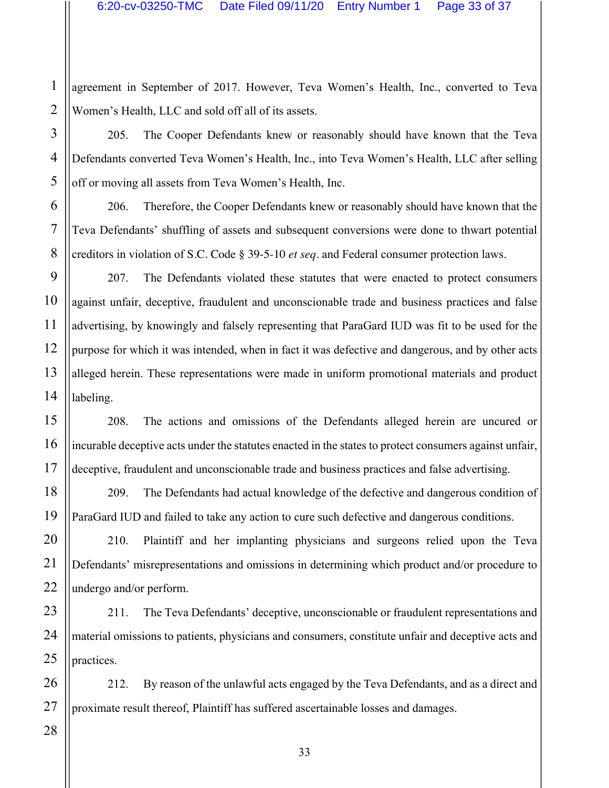2 agreement in September of 2017. However, Teva Women's Health, Inc., converted to Teva Women's Health, LLC and sold off all of its assets.

3 4 205. The Cooper Defendants knew or reasonably should have known that the Teva Defendants converted Teva Women's Health, Inc., into Teva Women's Health, LLC after selling off or moving all assets from Teva Women's Health, Inc.

206. Therefore, the Cooper Defendants knew or reasonably should have known that the Teva Defendants' shuffling of assets and subsequent conversions were done to thwart potential creditors in violation of S.C. Code § 39-5-10 *et seq*. and Federal consumer protection laws.

207. The Defendants violated these statutes that were enacted to protect consumers against unfair, deceptive, fraudulent and unconscionable trade and business practices and false advertising, by knowingly and falsely representing that ParaGard IUD was fit to be used for the purpose for which it was intended, when in fact it was defective and dangerous, and by other acts alleged herein. These representations were made in uniform promotional materials and product labeling.

208. The actions and omissions of the Defendants alleged herein are uncured or incurable deceptive acts under the statutes enacted in the states to protect consumers against unfair, deceptive, fraudulent and unconscionable trade and business practices and false advertising.

209. The Defendants had actual knowledge of the defective and dangerous condition of ParaGard IUD and failed to take any action to cure such defective and dangerous conditions.

210. Plaintiff and her implanting physicians and surgeons relied upon the Teva Defendants' misrepresentations and omissions in determining which product and/or procedure to undergo and/or perform.

211. The Teva Defendants' deceptive, unconscionable or fraudulent representations and material omissions to patients, physicians and consumers, constitute unfair and deceptive acts and practices.

212. By reason of the unlawful acts engaged by the Teva Defendants, and as a direct and proximate result thereof, Plaintiff has suffered ascertainable losses and damages.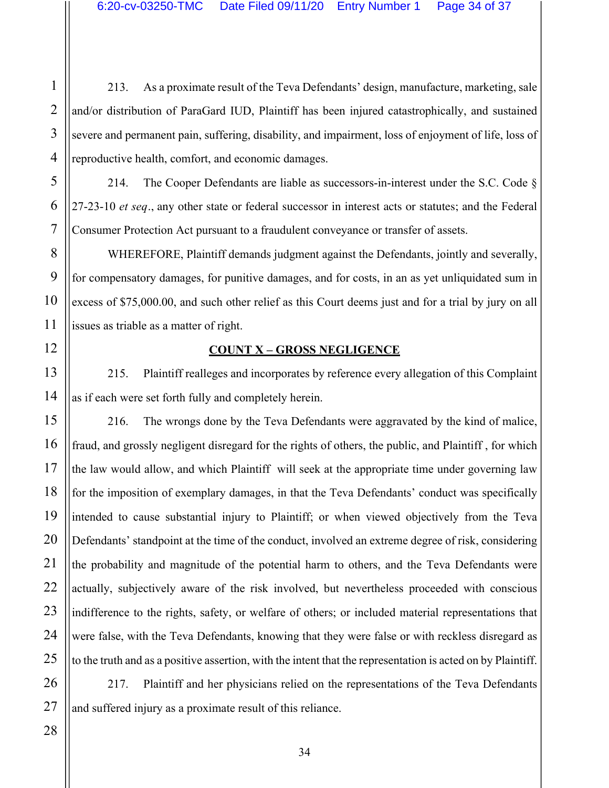213. As a proximate result of the Teva Defendants' design, manufacture, marketing, sale and/or distribution of ParaGard IUD, Plaintiff has been injured catastrophically, and sustained severe and permanent pain, suffering, disability, and impairment, loss of enjoyment of life, loss of reproductive health, comfort, and economic damages.

214. The Cooper Defendants are liable as successors-in-interest under the S.C. Code § 27-23-10 *et seq.*, any other state or federal successor in interest acts or statutes; and the Federal Consumer Protection Act pursuant to a fraudulent conveyance or transfer of assets.

WHEREFORE, Plaintiff demands judgment against the Defendants, jointly and severally, for compensatory damages, for punitive damages, and for costs, in an as yet unliquidated sum in excess of \$75,000.00, and such other relief as this Court deems just and for a trial by jury on all issues as triable as a matter of right.

#### **COUNT X – GROSS NEGLIGENCE**

215. Plaintiff realleges and incorporates by reference every allegation of this Complaint as if each were set forth fully and completely herein.

216. The wrongs done by the Teva Defendants were aggravated by the kind of malice, fraud, and grossly negligent disregard for the rights of others, the public, and Plaintiff , for which the law would allow, and which Plaintiff will seek at the appropriate time under governing law for the imposition of exemplary damages, in that the Teva Defendants' conduct was specifically intended to cause substantial injury to Plaintiff; or when viewed objectively from the Teva Defendants' standpoint at the time of the conduct, involved an extreme degree of risk, considering the probability and magnitude of the potential harm to others, and the Teva Defendants were actually, subjectively aware of the risk involved, but nevertheless proceeded with conscious indifference to the rights, safety, or welfare of others; or included material representations that were false, with the Teva Defendants, knowing that they were false or with reckless disregard as to the truth and as a positive assertion, with the intent that the representation is acted on by Plaintiff.

217. Plaintiff and her physicians relied on the representations of the Teva Defendants and suffered injury as a proximate result of this reliance.

1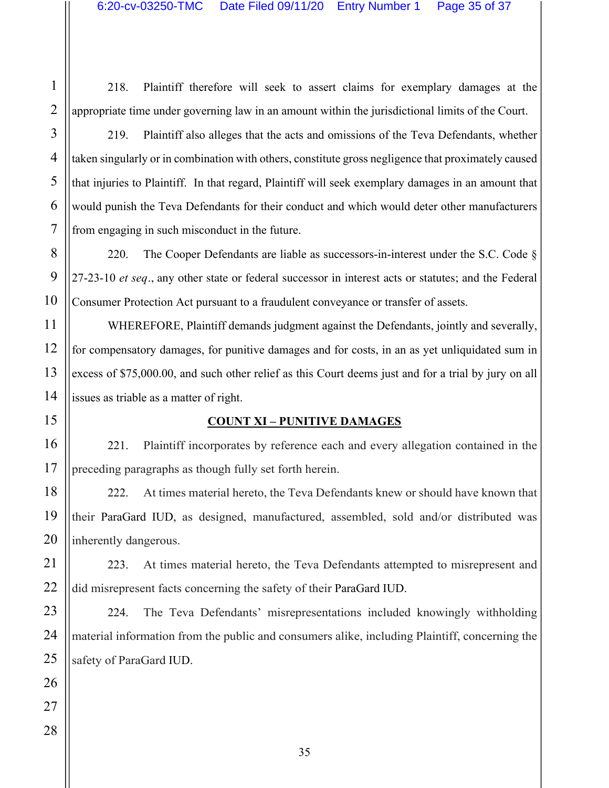1

218. Plaintiff therefore will seek to assert claims for exemplary damages at the appropriate time under governing law in an amount within the jurisdictional limits of the Court.

219. Plaintiff also alleges that the acts and omissions of the Teva Defendants, whether taken singularly or in combination with others, constitute gross negligence that proximately caused that injuries to Plaintiff. In that regard, Plaintiff will seek exemplary damages in an amount that would punish the Teva Defendants for their conduct and which would deter other manufacturers

from engaging in such misconduct in the future.

220. The Cooper Defendants are liable as successors-in-interest under the S.C. Code  $\S$ 27-23-10 *et seq.*, any other state or federal successor in interest acts or statutes; and the Federal Consumer Protection Act pursuant to a fraudulent conveyance or transfer of assets.

WHEREFORE, Plaintiff demands judgment against the Defendants, jointly and severally, for compensatory damages, for punitive damages and for costs, in an as yet unliquidated sum in excess of \$75,000.00, and such other relief as this Court deems just and for a trial by jury on all issues as triable as a matter of right.

#### **COUNT XI – PUNITIVE DAMAGES**

221. Plaintiff incorporates by reference each and every allegation contained in the preceding paragraphs as though fully set forth herein.

222. At times material hereto, the Teva Defendants knew or should have known that their ParaGard IUD, as designed, manufactured, assembled, sold and/or distributed was inherently dangerous.

223. At times material hereto, the Teva Defendants attempted to misrepresent and did misrepresent facts concerning the safety of their ParaGard IUD.

224. The Teva Defendants' misrepresentations included knowingly withholding material information from the public and consumers alike, including Plaintiff, concerning the safety of ParaGard IUD.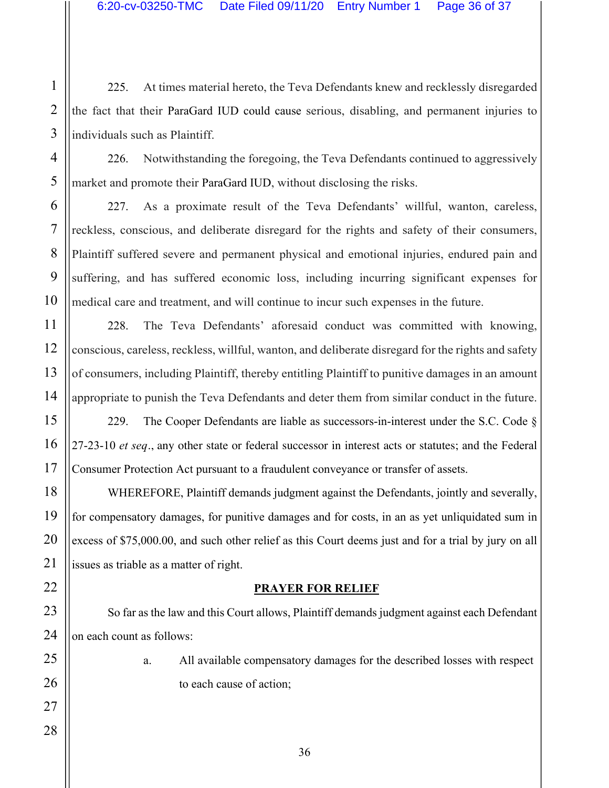225. At times material hereto, the Teva Defendants knew and recklessly disregarded the fact that their ParaGard IUD could cause serious, disabling, and permanent injuries to individuals such as Plaintiff.

226. Notwithstanding the foregoing, the Teva Defendants continued to aggressively market and promote their ParaGard IUD, without disclosing the risks.

227. As a proximate result of the Teva Defendants' willful, wanton, careless, reckless, conscious, and deliberate disregard for the rights and safety of their consumers, Plaintiff suffered severe and permanent physical and emotional injuries, endured pain and suffering, and has suffered economic loss, including incurring significant expenses for medical care and treatment, and will continue to incur such expenses in the future.

228. The Teva Defendants' aforesaid conduct was committed with knowing, conscious, careless, reckless, willful, wanton, and deliberate disregard for the rights and safety of consumers, including Plaintiff, thereby entitling Plaintiff to punitive damages in an amount appropriate to punish the Teva Defendants and deter them from similar conduct in the future.

229. The Cooper Defendants are liable as successors-in-interest under the S.C. Code  $\S$ 27-23-10 *et seq.*, any other state or federal successor in interest acts or statutes; and the Federal Consumer Protection Act pursuant to a fraudulent conveyance or transfer of assets.

WHEREFORE, Plaintiff demands judgment against the Defendants, jointly and severally, for compensatory damages, for punitive damages and for costs, in an as yet unliquidated sum in excess of \$75,000.00, and such other relief as this Court deems just and for a trial by jury on all issues as triable as a matter of right.

#### **PRAYER FOR RELIEF**

So far as the law and this Court allows, Plaintiff demands judgment against each Defendant on each count as follows:

> a. All available compensatory damages for the described losses with respect to each cause of action;